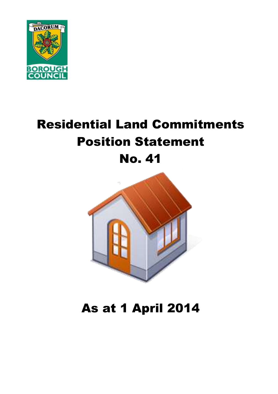

# Residential Land Commitments Position Statement No. 41



# As at 1 April 2014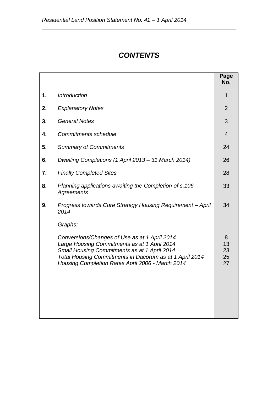# *CONTENTS*

|    |                                                                                                                                                                                                                                                                         | Page<br>No.               |
|----|-------------------------------------------------------------------------------------------------------------------------------------------------------------------------------------------------------------------------------------------------------------------------|---------------------------|
| 1. | <b>Introduction</b>                                                                                                                                                                                                                                                     | 1                         |
| 2. | <b>Explanatory Notes</b>                                                                                                                                                                                                                                                | $\overline{2}$            |
| 3. | <b>General Notes</b>                                                                                                                                                                                                                                                    | 3                         |
| 4. | <b>Commitments schedule</b>                                                                                                                                                                                                                                             | $\overline{4}$            |
| 5. | <b>Summary of Commitments</b>                                                                                                                                                                                                                                           | 24                        |
| 6. | Dwelling Completions (1 April 2013 – 31 March 2014)                                                                                                                                                                                                                     | 26                        |
| 7. | <b>Finally Completed Sites</b>                                                                                                                                                                                                                                          | 28                        |
| 8. | Planning applications awaiting the Completion of s.106<br><b>Agreements</b>                                                                                                                                                                                             | 33                        |
| 9. | Progress towards Core Strategy Housing Requirement - April<br>2014                                                                                                                                                                                                      | 34                        |
|    | Graphs:<br>Conversions/Changes of Use as at 1 April 2014<br>Large Housing Commitments as at 1 April 2014<br>Small Housing Commitments as at 1 April 2014<br>Total Housing Commitments in Dacorum as at 1 April 2014<br>Housing Completion Rates April 2006 - March 2014 | 8<br>13<br>23<br>25<br>27 |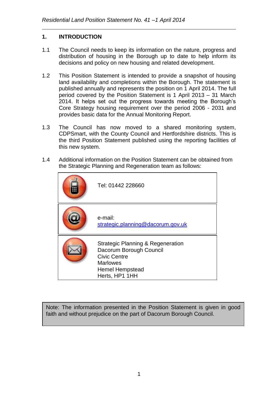#### **1. INTRODUCTION**

- 1.1 The Council needs to keep its information on the nature, progress and distribution of housing in the Borough up to date to help inform its decisions and policy on new housing and related development.
- 1.2 This Position Statement is intended to provide a snapshot of housing land availability and completions within the Borough. The statement is published annually and represents the position on 1 April 2014. The full period covered by the Position Statement is 1 April 2013 – 31 March 2014. It helps set out the progress towards meeting the Borough's Core Strategy housing requirement over the period 2006 - 2031 and provides basic data for the Annual Monitoring Report.
- 1.3 The Council has now moved to a shared monitoring system, CDPSmart, with the County Council and Hertfordshire districts. This is the third Position Statement published using the reporting facilities of this new system.
- 1.4 Additional information on the Position Statement can be obtained from the Strategic Planning and Regeneration team as follows:

| Tel: 01442 228660                                                                                                                                      |
|--------------------------------------------------------------------------------------------------------------------------------------------------------|
| e-mail:<br>strategic.planning@dacorum.gov.uk                                                                                                           |
| <b>Strategic Planning &amp; Regeneration</b><br>Dacorum Borough Council<br><b>Civic Centre</b><br>Marlowes<br><b>Hemel Hempstead</b><br>Herts, HP1 1HH |

Note: The information presented in the Position Statement is given in good faith and without prejudice on the part of Dacorum Borough Council.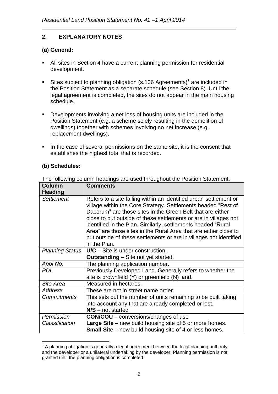### **2. EXPLANATORY NOTES**

#### **(a) General:**

- All sites in Section 4 have a current planning permission for residential development.
- Sites subject to planning obligation (s.106 Agreements)<sup>1</sup> are included in the Position Statement as a separate schedule (see Section 8). Until the legal agreement is completed, the sites do not appear in the main housing schedule.
- Developments involving a net loss of housing units are included in the Position Statement (e.g. a scheme solely resulting in the demolition of dwellings) together with schemes involving no net increase (e.g. replacement dwellings).
- In the case of several permissions on the same site, it is the consent that establishes the highest total that is recorded.

#### **(b) Schedules:**

| <b>Column</b><br><b>Heading</b> | <b>Comments</b>                                                                                                                                                                                                                                                                                                                                                                                                                                                                                |
|---------------------------------|------------------------------------------------------------------------------------------------------------------------------------------------------------------------------------------------------------------------------------------------------------------------------------------------------------------------------------------------------------------------------------------------------------------------------------------------------------------------------------------------|
| <b>Settlement</b>               | Refers to a site falling within an identified urban settlement or<br>village within the Core Strategy. Settlements headed "Rest of<br>Dacorum" are those sites in the Green Belt that are either<br>close to but outside of these settlements or are in villages not<br>identified in the Plan. Similarly, settlements headed "Rural<br>Area" are those sites in the Rural Area that are either close to<br>but outside of these settlements or are in villages not identified<br>in the Plan. |
| <b>Planning Status</b>          | $U/C -$ Site is under construction.<br><b>Outstanding</b> – Site not yet started.                                                                                                                                                                                                                                                                                                                                                                                                              |
| Appl No.                        | The planning application number.                                                                                                                                                                                                                                                                                                                                                                                                                                                               |
| <b>PDL</b>                      | Previously Developed Land. Generally refers to whether the<br>site is brownfield (Y) or greenfield (N) land.                                                                                                                                                                                                                                                                                                                                                                                   |
| Site Area                       | Measured in hectares.                                                                                                                                                                                                                                                                                                                                                                                                                                                                          |
| <b>Address</b>                  | These are not in street name order.                                                                                                                                                                                                                                                                                                                                                                                                                                                            |
| <b>Commitments</b>              | This sets out the number of units remaining to be built taking<br>into account any that are already completed or lost.<br>$N/S$ – not started                                                                                                                                                                                                                                                                                                                                                  |
| Permission                      | <b>CON/COU</b> – conversions/changes of use                                                                                                                                                                                                                                                                                                                                                                                                                                                    |
| Classification                  | <b>Large Site</b> – new build housing site of 5 or more homes.<br><b>Small Site</b> – new build housing site of 4 or less homes.                                                                                                                                                                                                                                                                                                                                                               |

The following column headings are used throughout the Position Statement:

<sup>1</sup>  $1$  A planning obligation is generally a legal agreement between the local planning authority and the developer or a unilateral undertaking by the developer. Planning permission is not granted until the planning obligation is completed.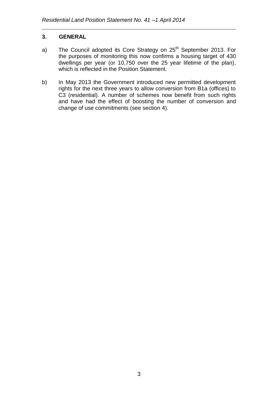#### **3. GENERAL**

- a) The Council adopted its Core Strategy on  $25<sup>th</sup>$  September 2013. For the purposes of monitoring this now confirms a housing target of 430 dwellings per year (or 10,750 over the 25 year lifetime of the plan), which is reflected in the Position Statement.
- b) In May 2013 the Government introduced new permitted development rights for the next three years to allow conversion from B1a (offices) to C3 (residential). A number of schemes now benefit from such rights and have had the effect of boosting the number of conversion and change of use commitments (see section 4).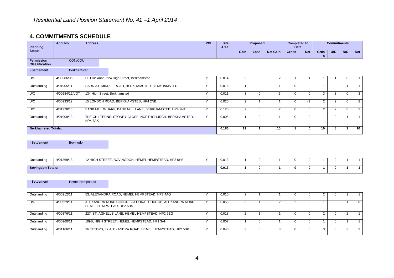#### **4. COMMITMENTS SCHEDULE**

| <b>Planning</b>                            | Appl No.       | <b>Address</b>               |                                                        | <b>PDL</b>           | <b>Site</b><br>Area |                | Proposed    |                 | <b>Completed to</b><br>Date |            |                  | <b>Commitments</b> |                |                 |
|--------------------------------------------|----------------|------------------------------|--------------------------------------------------------|----------------------|---------------------|----------------|-------------|-----------------|-----------------------------|------------|------------------|--------------------|----------------|-----------------|
| <b>Status</b>                              |                |                              |                                                        |                      |                     | Gain           | Loss        | <b>Net Gain</b> | <b>Gross</b>                | <b>Net</b> | <b>Gros</b><br>s | U/C                | N/S            | <b>Net</b>      |
| <b>Permission</b><br><b>Classification</b> | CON/COU        |                              |                                                        |                      |                     |                |             |                 |                             |            |                  |                    |                |                 |
| - Settlement                               | Berkhamsted    |                              |                                                        |                      |                     |                |             |                 |                             |            |                  |                    |                |                 |
| U/C                                        | 4/00386/05     |                              | H H Dickman, 224 High Street, Berkhamsted              |                      | 0.014               | $\overline{2}$ | 0           | 2               |                             |            |                  |                    |                |                 |
| Outstanding                                | 4/01005/11     |                              | BARN AT, MIDDLE ROAD, BERKHAMSTED, BERKHAMSTED         | $\sqrt{}$            | 0.016               |                | $\Omega$    |                 | $\Omega$                    | $\Omega$   |                  | $\Omega$           |                |                 |
| U/C                                        | 4/00584/12/VOT | 134 High Street, Berkhamsted |                                                        | $\sqrt{}$            | 0.011               | 3              | $\Omega$    | 3               | $\Omega$                    |            | 3                | 3                  | $\Omega$       | 3               |
| U/C                                        | 4/00933/12     |                              | 15 LONDON ROAD, BERKHAMSTED, HP4 2NB                   | $\ddot{\phantom{1}}$ | 0.020               | $\overline{2}$ |             |                 | $\Omega$                    | -1         | $\overline{2}$   | 2                  | $\Omega$       | $\overline{2}$  |
| U/C                                        | 4/01278/13     |                              | BANK MILL WHARF, BANK MILL LANE, BERKHAMSTED, HP4 2NT  | $\sqrt{}$            | 0.120               | $\overline{2}$ | $\mathbf 0$ | $\overline{2}$  | $\mathbf 0$                 | $\Omega$   | $\overline{2}$   | 2                  | $\mathbf 0$    | $\overline{2}$  |
| Outstanding                                | 4/01909/13     | HP4 3AX                      | THE CHILTERNS, STONEY CLOSE, NORTHCHURCH, BERKHAMSTED, | $\checkmark$         | 0.005               |                | $\Omega$    |                 | $\Omega$                    |            |                  | $\Omega$           |                |                 |
| <b>Berkhamsted Totals:</b>                 |                |                              |                                                        |                      | 0.186               | 11             |             | 10              |                             |            | 10               | 8                  | $\overline{2}$ | 10 <sup>1</sup> |

**- Settlement Bovingdon** 

| Outstanding              | 4/01369/13 | <b>H STREET</b><br>. BOVINGDON. H<br>, HEMEL HEMPSTEAD, HP3 0HB<br>12 HIGH | 0.013 |  |  |  |  |  |
|--------------------------|------------|----------------------------------------------------------------------------|-------|--|--|--|--|--|
| <b>Bovingdon Totals:</b> |            |                                                                            | 0.013 |  |  |  |  |  |

**- Settlement Hemel Hempstead** 

| Outstanding | 4/00212/11 | 53, ALEXANDRA ROAD, HEMEL HEMPSTEAD, HP2 4AQ                                      | 0.010 |  |  |  |  |  |
|-------------|------------|-----------------------------------------------------------------------------------|-------|--|--|--|--|--|
| U/C         | 4/00529/11 | ALEXANDRA ROAD CONGREGATIONAL CHURCH, ALEXANDRA ROAD,<br>HEMEL HEMPSTEAD, HP2 5BS | 0.053 |  |  |  |  |  |
| Outstanding | 4/00876/11 | 227, ST. AGNELLS LANE, HEMEL HEMPSTEAD, HP2 6EG                                   | 0.018 |  |  |  |  |  |
| Outstanding | 4/00960/11 | 109B, HIGH STREET, HEMEL HEMPSTEAD, HP1 3AH                                       | 0.007 |  |  |  |  |  |
| Outstanding | 4/01166/11 | TREETOPS, 37 ALEXANDRA ROAD, HEMEL HEMPSTEAD, HP2 5BP                             | 0.040 |  |  |  |  |  |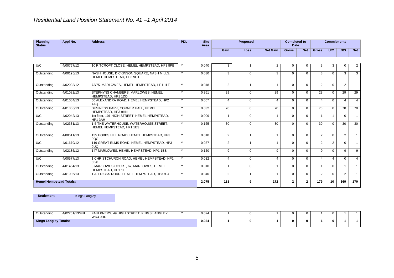| <b>Planning</b><br><b>Status</b> | Appl No.   | <b>Address</b>                                                        | <b>PDL</b>   | <b>Site</b><br>Area |                | Proposed       |                 | <b>Completed to</b><br><b>Date</b> |                |                | <b>Commitments</b> |                |                |
|----------------------------------|------------|-----------------------------------------------------------------------|--------------|---------------------|----------------|----------------|-----------------|------------------------------------|----------------|----------------|--------------------|----------------|----------------|
|                                  |            |                                                                       |              |                     | Gain           | Loss           | <b>Net Gain</b> | <b>Gross</b>                       | <b>Net</b>     | <b>Gross</b>   | U/C                | N/S            | <b>Net</b>     |
|                                  |            |                                                                       |              |                     |                |                |                 |                                    |                |                |                    |                |                |
| U/C                              | 4/00767/12 | 10 RITCROFT CLOSE. HEMEL HEMPSTEAD, HP3 8PB                           | Y            | 0.040               | 3              |                | $\overline{2}$  | $\mathbf 0$                        | 0              | 3              | 3                  | $\mathbf 0$    | $\overline{2}$ |
| Outstanding                      | 4/00195/13 | NASH HOUSE, DICKINSON SQUARE, NASH MILLS,<br>HEMEL HEMPSTEAD, HP3 9GT | Y            | 0.030               | 3              | $\Omega$       | 3               | $\Omega$                           | $\Omega$       | 3              | $\Omega$           | 3              | 3              |
| Outstanding                      | 4/02003/12 | 73/75, MARLOWES, HEMEL HEMPSTEAD, HP1 1LF                             | Y            | 0.048               | $\overline{2}$ | -1             |                 | $\mathbf{0}$                       | $\mathbf 0$    | $\overline{2}$ | $\Omega$           | 2              |                |
| Outstanding                      | 4/01082/13 | STEPHYNS CHAMBERS, MARLOWES, HEMEL<br>HEMPSTEAD, HP1 1DD              | Y            | 0.361               | 29             | $\Omega$       | 29              | $\Omega$                           | $\Omega$       | 29             | $\Omega$           | 29             | 29             |
| Outstanding                      | 4/01084/13 | 60 ALEXANDRA ROAD, HEMEL HEMPSTEAD, HP2<br>4AQ                        | Y            | 0.067               | 4              | $\Omega$       | 4               | $\Omega$                           | $\Omega$       | 4              | $\Omega$           | $\overline{4}$ | $\overline{4}$ |
| Outstanding                      | 4/01306/13 | BUSINESS PARK, CORNER HALL, HEMEL<br>HEMPSTEAD, HP3 9HN               | $\mathsf{Y}$ | 0.832               | 70             | $\Omega$       | 70              | $\Omega$                           | $\mathbf 0$    | 70             | $\Omega$           | 70             | 70             |
| U/C                              | 4/02042/13 | 1st floor, 101 HIGH STREET, HEMEL HEMPSTEAD.<br>HP1 3AH               | Y            | 0.009               | $\mathbf{1}$   | $\Omega$       | $\overline{1}$  | $\Omega$                           | $\Omega$       | $\mathbf{1}$   | $\overline{1}$     | $\Omega$       | $\mathbf{1}$   |
| Outstanding                      | 4/02331/13 | 1-5 THE WATERHOUSE, WATERHOUSE STREET.<br>HEMEL HEMPSTEAD, HP1 1ES    | Y            | 0.165               | 30             | $\Omega$       | 30              | $\Omega$                           | $\Omega$       | 30             | $\Omega$           | 30             | 30             |
| Outstanding                      | 4/00611/13 | 135 HOBBS HILL ROAD, HEMEL HEMPSTEAD, HP3<br>9OG                      | Y            | 0.010               | 2              | $\overline{1}$ | $\overline{1}$  | $\Omega$                           | $\mathbf 0$    | $\overline{2}$ | $\Omega$           | $\overline{2}$ | $\mathbf{1}$   |
| U/C                              | 4/01679/12 | 119 GREAT ELMS ROAD. HEMEL HEMPSTEAD. HP3<br>9UQ                      | Y            | 0.037               | $\overline{2}$ | $\mathbf 1$    | -1              | $\mathbf 0$                        | $\mathbf 0$    | $\overline{2}$ | $\overline{2}$     | $\mathbf{0}$   | $\mathbf{1}$   |
| Outstanding                      | 4/02185/12 | 147 MARLOWES, HEMEL HEMPSTEAD, HP1 1BB                                | Y            | 0.150               | 9              | $\Omega$       | 9               | $\Omega$                           | $\mathbf 0$    | 9              | $\Omega$           | 9              | 9              |
| U/C                              | 4/00577/13 | 1 CHRISTCHURCH ROAD, HEMEL HEMPSTEAD, HP2<br>5BX                      | Y            | 0.032               | 4              | $\Omega$       | 4               | $\mathbf{0}$                       | $\Omega$       | 4              | 4                  | $\Omega$       | $\overline{4}$ |
| Outstanding                      | 4/01464/13 | 3 MARLOWES COURT, 67, MARLOWES, HEMEL<br>HEMPSTEAD, HP1 1LE           | Y            | 0.010               | $\overline{1}$ | $\Omega$       |                 | $\mathbf 0$                        | $\mathbf 0$    |                | $\Omega$           |                | $\mathbf{1}$   |
| Outstanding                      | 4/01086/13 | 1 ALLDICKS ROAD, HEMEL HEMPSTEAD, HP3 9JJ                             | Y            | 0.040               | $\overline{2}$ | -1             |                 | $\mathbf 0$                        | $\mathbf 0$    | $\overline{2}$ | $\mathbf 0$        | $\overline{2}$ | $\overline{1}$ |
| <b>Hemel Hempstead Totals:</b>   |            |                                                                       |              | 2.075               | 181            | 9              | 172             | $\mathbf{2}$                       | $\overline{2}$ | 179            | 10                 | 169            | 170            |

**- Settlement** Kings Langley

| Outstanding                  | 4/02201/13/FUL | AULKNERS, 49 HIGH STREET<br>. KINGS LANGLEY.<br>FΔI | 0.024 |  |  |  |  |  |
|------------------------------|----------------|-----------------------------------------------------|-------|--|--|--|--|--|
|                              |                | WD4 9HU                                             |       |  |  |  |  |  |
| <b>Kings Langley Totals:</b> |                |                                                     | 0.024 |  |  |  |  |  |
|                              |                |                                                     |       |  |  |  |  |  |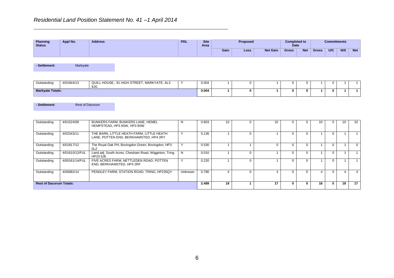| <b>Planning</b><br><b>Status</b> | Appl No. | <b>Address</b> | <b>PDL</b> | <b>Site</b><br>Area |      | <b>Proposed</b> |                 | Completed to<br><b>Date</b> |            |              | <b>Commitments</b> |     |            |
|----------------------------------|----------|----------------|------------|---------------------|------|-----------------|-----------------|-----------------------------|------------|--------------|--------------------|-----|------------|
|                                  |          |                |            |                     | Gain | Loss            | <b>Net Gain</b> | <b>Gross</b>                | <b>Net</b> | <b>Gross</b> | <b>U/C</b>         | N/S | <b>Net</b> |

**- Settlement** Markyate

| Outstanding             | 4/01944/13 | QUILL HOUSE., 91 HIGH STREET, MARKYATE, AL3<br>8JG | 0.004 |  |  |  |  |  |
|-------------------------|------------|----------------------------------------------------|-------|--|--|--|--|--|
| <b>Markyate Totals:</b> |            |                                                    | 0.004 |  |  |  |  |  |

**- Settlement Rest of Dacorum** 

| Outstanding                    | 4/01524/09     | BUNKERS FARM, BUNKERS LANE, HEMEL<br>HEMPSTEAD, HP3 8SW, HP3 8SW                    |              | 0.803 | 10 |    |          | 10 |          |    | 10 |
|--------------------------------|----------------|-------------------------------------------------------------------------------------|--------------|-------|----|----|----------|----|----------|----|----|
| Outstanding                    | 4/02343/11     | THE BARN, LITTLE HEATH FARM, LITTLE HEATH<br>LANE, POTTEN END, BERKHAMSTED, HP4 2RY | $\checkmark$ | 0.136 |    |    | $\Omega$ |    | $\Omega$ |    |    |
| Outstanding                    | 4/01817/12     | The Royal Oak PH, Bovingdon Green, Bovingdon, HP3<br>0LZ                            |              | 0.530 |    |    | $\Omega$ |    | $\Omega$ |    |    |
| Outstanding                    | 4/01610/12/FUL | Land adj. South Acres, Chesham Road, Wigginton, Tring,<br><b>HP23 6JE</b>           | N            | 0.010 |    |    | $\Omega$ |    | $\Omega$ |    |    |
| Outstanding                    | 4/00161/14/FUL | FIVE ACRES FARM, NETTLEDEN ROAD, POTTEN<br>END, BERKHAMSTED, HP4 2RF                |              | 0.220 |    |    |          |    |          |    |    |
| Outstanding                    | 4/00082/14     | PENDLEY FARM, STATION ROAD, TRING, HP235QY                                          | Unknown      | 0.790 |    |    |          |    |          |    |    |
| <b>Rest of Dacorum Totals:</b> |                |                                                                                     |              | 2.489 | 18 | 17 |          | 18 |          | 18 | 17 |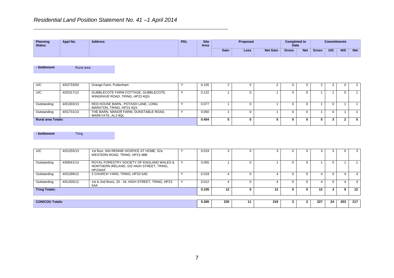| <b>Planning</b><br><b>Status</b> | Appl No. | <b>Address</b> | <b>PDL</b> | <b>Site</b><br>Area |      | <b>Proposed</b> |                 | Completed to<br><b>Date</b> |            |              | <b>Commitments</b> |     |            |
|----------------------------------|----------|----------------|------------|---------------------|------|-----------------|-----------------|-----------------------------|------------|--------------|--------------------|-----|------------|
|                                  |          |                |            |                     | Gain | Loss            | <b>Net Gain</b> | <b>Gross</b>                | <b>Net</b> | <b>Gross</b> | U/C                | N/S | <b>Net</b> |

**-** Settlement **Rural** area

| U/C                       | 4/02733/03 | Grange Farm, Puttenham                                                 | 0.155 |  |  |  |   |  |
|---------------------------|------------|------------------------------------------------------------------------|-------|--|--|--|---|--|
| U/C                       | 4/02317/12 | GUBBLECOTE FARM COTTAGE, GUBBLECOTE,<br>WINGRAVE ROAD, TRING, HP23 4QG | 0.122 |  |  |  |   |  |
| Outstanding               | 4/01303/13 | RED HOUSE BARN., POTASH LANE, LONG<br>MARSTON, TRING, HP23 4QX         | 0.077 |  |  |  | 0 |  |
| Outstanding               | 4/01731/13 | THE BARN, MANOR FARM, DUNSTABLE ROAD,<br>MARKYATE, AL3 8QL             | 0.050 |  |  |  | 0 |  |
| <b>Rural area Totals:</b> |            |                                                                        | 0.404 |  |  |  |   |  |

**- Settlement** Tring

| U/C                    | 4/01255/13 | 1st floor, IAN RENNIE HOSPICE AT HOME, 52a<br>WESTERN ROAD, TRING, HP23 4BB                       | 0.019 |     |    |     |   |              |     |    |     | 3                |
|------------------------|------------|---------------------------------------------------------------------------------------------------|-------|-----|----|-----|---|--------------|-----|----|-----|------------------|
| Outstanding            | 4/00541/13 | ROYAL FORESTRY SOCIETY OF ENGLAND WALES &<br>NORTHERN IRELAND, 102 HIGH STREET, TRING,<br>HP234AF | 0.055 |     |    |     |   |              |     |    |     |                  |
| Outstanding            | 4/01299/12 | 2 CHURCH YARD, TRING, HP23 5AE                                                                    | 0.019 |     |    |     |   |              |     |    |     |                  |
| Outstanding            | 4/01305/12 | 1st & 2nd floors, 33 - 34, HIGH STREET, TRING, HP23<br>5AA                                        | 0.012 |     |    |     |   |              |     |    |     |                  |
| <b>Tring Totals:</b>   |            |                                                                                                   | 0.105 | 12  | 0  | 12  | 0 | $\mathbf{0}$ | 12  |    |     | 12 <sup>12</sup> |
|                        |            |                                                                                                   |       |     |    |     |   |              |     |    |     |                  |
| <b>CON/COU Totals:</b> |            |                                                                                                   | 5.300 | 230 | 11 | 219 |   |              | 227 | 24 | 203 | 217              |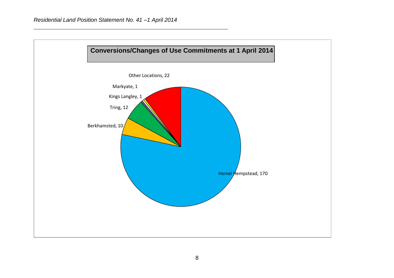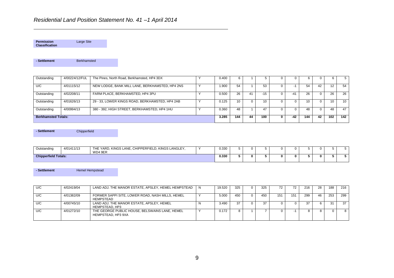**Permission Classification** Large Site

**-** Settlement **Berkhamsted** 

| Outstanding                | 4/00224/12/FUL | The Pines, North Road, Berkhamsted, HP4 3DX     | 0.400 | 6   |    |       |     |     |    |     | 5               |
|----------------------------|----------------|-------------------------------------------------|-------|-----|----|-------|-----|-----|----|-----|-----------------|
| U/C                        | 4/01115/12     | NEW LODGE, BANK MILL LANE, BERKHAMSTED, HP4 2NS | 900.  | 54  |    | 53    |     | 54  | 42 | 12. | 54              |
| Outstanding                | 4/02208/11     | FARM PLACE, BERKHAMSTED, HP4 3PU                | 0.500 | 26  | 41 | $-15$ | -4  | 26  |    | 26  | 26              |
| Outstanding                | 4/01626/13     | 29 - 33, LOWER KINGS ROAD, BERKHAMSTED, HP4 2AB | 0.125 | 10  |    | 10    |     |     |    | 10  | 10 <sup>°</sup> |
| Outstanding                | 4/00994/13     | 380 - 392, HIGH STREET, BERKHAMSTED, HP4 1HU    | 0.360 | 48  |    | 47    |     | 48  |    | 48  | 47              |
| <b>Berkhamsted Totals:</b> |                |                                                 | 3.285 | 144 | 44 | 100   | -42 | 144 | 42 | 102 | 142             |

**- Settlement** Chipperfield

| Outstanding                 | 4/01411/13 | , KINGS LANE, CHIPPERFIELD, KINGS LANGLEY,<br>THE YARD.<br>WD4 9ER | 0.330 |  |  |  |   | . . |
|-----------------------------|------------|--------------------------------------------------------------------|-------|--|--|--|---|-----|
| <b>Chipperfield Totals:</b> |            |                                                                    | 0.330 |  |  |  | o |     |

**-** Settlement **Hemel Hempstead** 

| U/C | 4/02419/04 | LAND ADJ. THE MANOR ESTATE, APSLEY, HEMEL HEMPSTEAD                  | N | 19.520 | 325 | n. | 325 | 72  | 72  | 216 | 28 | 188 | 216  |
|-----|------------|----------------------------------------------------------------------|---|--------|-----|----|-----|-----|-----|-----|----|-----|------|
| U/C | 4/01382/09 | FORMER SAPPI SITE, LOWER ROAD, NASH MILLS, HEMEL<br><b>HEMPSTEAD</b> |   | 5.000  | 450 | n. | 450 | 151 | 151 | 299 | 46 | 253 | 299  |
| U/C | 4/00745/10 | LAND ADJ. THE MANOR ESTATE, APSLEY, HEMEL<br>HEMPSTEAD, HP3          |   | 3.490  | 37  |    | 37  |     |     |     |    | 31  | 37 I |
| U/C | 4/01272/10 | THE GEORGE PUBLIC HOUSE, BELSWAINS LANE, HEMEL<br>HEMPSTEAD, HP3 9XA |   | 0.172  |     |    |     |     |     |     |    |     | 8.   |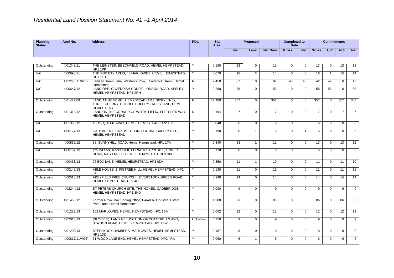| <b>Planning</b><br><b>Status</b> | Appl No.       | <b>Address</b>                                                                                                      | <b>PDL</b>     | <b>Site</b><br>Area |                 | <b>Proposed</b> |                  | <b>Completed to</b><br><b>Date</b> |             |                | <b>Commitments</b> |                |                 |
|----------------------------------|----------------|---------------------------------------------------------------------------------------------------------------------|----------------|---------------------|-----------------|-----------------|------------------|------------------------------------|-------------|----------------|--------------------|----------------|-----------------|
|                                  |                |                                                                                                                     |                |                     | Gain            | Loss            | <b>Net Gain</b>  | <b>Gross</b>                       | <b>Net</b>  | <b>Gross</b>   | U/C                | N/S            | <b>Net</b>      |
|                                  |                |                                                                                                                     |                |                     |                 |                 |                  |                                    |             |                |                    |                |                 |
| Outstanding                      | 4/01348/11     | THE LEINSTER, BEECHFIELD ROAD, HEMEL HEMPSTEAD.<br>HP1 1PP                                                          | Y              | 0.150               | 13              | $\Omega$        | 13               | $\Omega$                           | 0           | 13             | $\mathbf 0$        | 13             | 13              |
| U/C                              | 4/00690/11     | THE SOCIETY ARMS, 43 MARLOWES, HEMEL HEMPSTEAD.<br>HP1 1LD                                                          | Y              | 0.070               | 16              | $\overline{2}$  | 14               | $\Omega$                           | $\Omega$    | 16             | $\mathbf{1}$       | 15             | 14              |
| U/C                              | 4/02276/11/RES | Land at Green Lane, Westwick Row, Leverstock Green, Hemel<br>Hempstead                                              | N              | 2.450               | 87              | $\Omega$        | 87               | 45                                 | 45          | 42             | 42                 | $\Omega$       | 42              |
| U/C                              | 4/00647/12     | LAND OPP. CAVENDISH COURT, LONDON ROAD, APSLEY,<br>HEMEL HEMPSTEAD, HP1 2RH                                         | Y              | 0.280               | 58              | $\mathbf 0$     | 58               | $\mathbf 0$                        | $\mathbf 0$ | 58             | 58                 | $\Omega$       | 58              |
| Outstanding                      | 4/01477/09     | LAND AT NE HEMEL HEMPSTEAD (ADJ. NICKY LINE),<br>THREE CHERRY T, THREE CHEERY TREES LANE, HEMEL<br><b>HEMPSTEAD</b> | N              | 12.400              | 357             | $\Omega$        | 357              | $\Omega$                           | $\Omega$    | 357            | $\Omega$           | 357            | 357             |
| Outstanding                      | 4/01319/12     | LAND ON THE CORNER OF WHEATFIELD/, FLETCHER WAY,<br><b>HEMEL HEMPSTEAD</b>                                          | N              | 0.194               | $\overline{7}$  | $\Omega$        | $\overline{7}$   | $\Omega$                           | $\mathbf 0$ | $\overline{7}$ | $\overline{0}$     | $\overline{7}$ | $\overline{7}$  |
| U/C                              | 4/01365/12     | 10-12, QUEENSWAY, HEMEL HEMPSTEAD, HP2 1LR                                                                          | Y              | 0.040               | 6               | $\Omega$        | 6                | $\Omega$                           | $\Omega$    | 6              | 6                  | $\Omega$       | 6               |
| U/C                              | 4/00127/13     | GADEBRIDGE BAPTIST CHURCH &, 361, GALLEY HILL,<br><b>HEMEL HEMPSTEAD</b>                                            | Y              | 0.190               | 6               | $\mathbf{1}$    | 5                | $\Omega$                           | $-1$        | 6              | 6                  | $\Omega$       | 6               |
| Outstanding                      | 4/00552/12     | 89, SUNNYHILL ROAD, Hemel Hempstead, HP1 1TA                                                                        | Y              | 0.340               | 13              |                 | 12               | $\Omega$                           | $\Omega$    | 13             | $\Omega$           | 13             | 12              |
| U/C                              | 4/00197/13     | ground floor, blocks I & K, FORMER SAPPI SITE, LOWER<br>ROAD, NASH MILLS, HEMEL HEMPSTEAD, HP3 9XF                  | Y              | 0.110               | 6               | $\Omega$        | 6                | $\Omega$                           | $\Omega$    | 6              | 6                  | $\Omega$       | 6               |
| Outstanding                      | 4/00468/12     | 27 BOX LANE, HEMEL HEMPSTEAD, HP3 0DH                                                                               | $\overline{Y}$ | 0.350               | 11              |                 | 10 <sup>10</sup> | $\Omega$                           | $\mathbf 0$ | 11             | $\Omega$           | 11             | 10              |
| Outstanding                      | 4/00142/13     | ABLE HOUSE, 1 FIGTREE HILL, HEMEL HEMPSTEAD, HP2<br>5XJ                                                             | Y              | 0.130               | 11              | $\Omega$        | 11               | $\Omega$                           | $\Omega$    | 11             | $\Omega$           | 11             | 11              |
| Outstanding                      | 4/00518/13     | ADEYFIELD FREE CHURCH. LEVERSTOCK GREEN ROAD.<br>HEMEL HEMPSTEAD, HP2 4HL                                           | Y              | 0.340               | $\overline{14}$ | $\Omega$        | 14               | $\Omega$                           | $\Omega$    | 14             | $\Omega$           | 14             | $\overline{14}$ |
| Outstanding                      | 4/02244/12     | ST PETERS CHURCH SITE. THE NOKES, GADEBRIDGE.<br>HEMEL HEMPSTEAD, HP1 3ND                                           | Y              | 0.090               | 9               | $\Omega$        | 9                | $\Omega$                           | $\Omega$    | 9              | $\Omega$           | 9              | $\mathbf{Q}$    |
| Outstanding                      | 4/01450/12     | Former Royal Mail Sorting Office, Paradise Industrial Estate,<br>Park Lane, Hemel Hempdstead                        | Y              | 1.380               | 86              | $\mathbf 0$     | 86               | $\mathbf 0$                        | $\mathbf 0$ | 86             | $\mathbf 0$        | 86             | 86              |
| Outstanding                      | 4/01227/13     | 162 MARLOWES, HEMEL HEMPSTEAD, HP1 1BA                                                                              | $\overline{Y}$ | 0.062               | 12 <sup>°</sup> | $\Omega$        | 12               | $\mathbf 0$                        | $\mathbf 0$ | 12             | $\mathbf 0$        | 12             | 12              |
| Outstanding                      | 4/02013/13     | (BLOCK H), LAND AT JUNCTION OF COTTERELLS AND,<br>STATION ROAD, HEMEL HEMPSTEAD, HP1 1FW                            | <b>Unknown</b> | 0.250               | 9               | $\mathbf 0$     | 9                | $\Omega$                           | $\mathbf 0$ | 9              | $\Omega$           | 9              | 9               |
| Outstanding                      | 4/01208/13     | STEPHYNS CHAMBERS, MARLOWES, HEMEL HEMPSTEAD.<br>HP1 1DD                                                            | Y              | 0.187               | 8               | $\Omega$        | 8                | $\Omega$                           | $\mathbf 0$ | 8              | $\mathbf{0}$       | 8              | 8               |
| Outstanding                      | 4/00817/11/VOT | 31 WOOD LANE END. HEMEL HEMPSTEAD, HP2 4RA                                                                          | Y              | 0.060               | 6               | $\mathbf{1}$    | 5                | $\Omega$                           | $\Omega$    | 6              | $\Omega$           | 6              | 5               |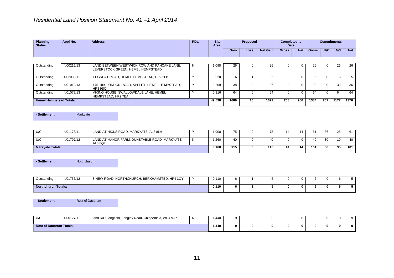HEMPSTEAD, HP2 7EA

| <b>Planning</b><br><b>Status</b> | Appl No.   | <b>Address</b>                                                                   | <b>PDL</b> | <b>Site</b><br>Area |      | <b>Proposed</b> |                 | <b>Completed to</b><br><b>Date</b> |            |              | <b>Commitments</b> |     |            |
|----------------------------------|------------|----------------------------------------------------------------------------------|------------|---------------------|------|-----------------|-----------------|------------------------------------|------------|--------------|--------------------|-----|------------|
|                                  |            |                                                                                  |            |                     | Gain | <b>Loss</b>     | <b>Net Gain</b> | <b>Gross</b>                       | <b>Net</b> | <b>Gross</b> | U/C                | N/S | <b>Net</b> |
| Outstanding                      | 4/00216/13 | LAND BETWEEN WESTWICK ROW AND PANCAKE LANE,<br>LEVERSTOCK GREEN, HEMEL HEMPSTEAD | N          | 1.098               | 26   | 0               | 26              | 0                                  | 0          | 26           | 0                  | 26  | 26         |
| Outstanding                      | 4/02083/11 | 11 GREAT ROAD, HEMEL HEMPSTEAD, HP2 5LB                                          |            | 0.220               |      |                 |                 |                                    |            |              |                    |     | 5          |
| Outstanding                      | 4/01010/13 | 175-189, LONDON ROAD, APSLEY, HEMEL HEMPSTEAD,<br>HP3 9SQ                        |            | 0.209               | 38   |                 | 36              |                                    | $\Omega$   | 38           |                    | 38  | 36         |
| Outstanding                      | 4/01077/13 | VIKING HOUSE, SWALLOWDALE LANE, HEMEL                                            |            | 0.816               | 64   |                 | 64              |                                    |            | 64           |                    | 64  | 64         |

**Hemel Hempstead Totals: 49.598 1689 10 1679 268 266 1384 207 1177 1376**

**- Settlement** Markyate

| U/C                     | 4/01173/11 | LAND AT HICKS ROAD, MARKYATE, AL3 8LH                    | .900  | --  |     |    | 61  | วค       | 25 | $\sim$<br>וס |
|-------------------------|------------|----------------------------------------------------------|-------|-----|-----|----|-----|----------|----|--------------|
| U/C                     | 4/01797/12 | LAND AT MANOR FARM. DUNSTABLE ROAD, MARKYATE.<br>AL3 8QL | .260  | 40  |     |    |     | $\Omega$ | 10 | 40           |
| <b>Markyate Totals:</b> |            |                                                          | 3.160 | 115 | 115 | 11 | 101 | 66       | 35 | 101          |

**- Settlement** Northchurch

| Outstanding         | 4/01756/12 | 8 NEW ROAD, NORTHCHURCH, BERKHAMSTED, HP4 3QY | <b>AAO</b><br>. |  |  |  |  |  |
|---------------------|------------|-----------------------------------------------|-----------------|--|--|--|--|--|
| Northchurch Totals: |            |                                               | 0.110           |  |  |  |  |  |

**- Settlement Rest of Dacorum** 

| 11/<br>שוש                     | 4/00127/11 | land R/O Longfield, Langley Road, Chipperfield, WD4 9JP | .440<br>. |   |  |    |  |  |
|--------------------------------|------------|---------------------------------------------------------|-----------|---|--|----|--|--|
| <b>Rest of Dacorum Totals:</b> |            |                                                         | .440      | 0 |  | п. |  |  |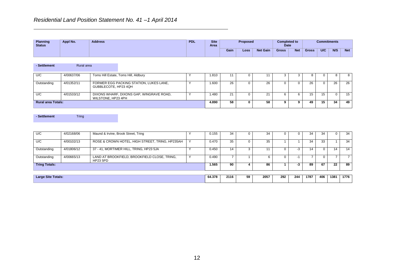| <b>Planning</b><br><b>Status</b> | Appl No. | <b>Address</b> | <b>PDL</b> | <b>Site</b><br>Area |      | <b>Proposed</b> |                 | <b>Completed to</b><br><b>Date</b> |            |              | <b>Commitments</b> |     |            |
|----------------------------------|----------|----------------|------------|---------------------|------|-----------------|-----------------|------------------------------------|------------|--------------|--------------------|-----|------------|
|                                  |          |                |            |                     | Gain | Loss            | <b>Net Gain</b> | <b>Gross</b>                       | <b>Net</b> | <b>Gross</b> | U/C                | N/S | <b>Net</b> |

| - Settlement              | Rural area |                      |                                          |       |    |   |    |  |    |    |    |    |
|---------------------------|------------|----------------------|------------------------------------------|-------|----|---|----|--|----|----|----|----|
| U/C                       | 4/00637/06 |                      | Toms Hill Estate, Toms Hill, Aldbury     | .810  |    |   |    |  |    |    |    | -8 |
| Outstanding               | 4/01352/11 | GUBBLECOTE, HP23 4QH | FORMER EGG PACKING STATION, LUKES LANE,  | .600  | 26 |   | 26 |  | 26 |    | 26 | 26 |
| U/C                       | 4/01533/12 | WILSTONE, HP23 4PH   | DIXONS WHARF, DIXONS GAP, WINGRAVE ROAD, | .480  | 21 |   | ົາ |  | 15 | 15 |    | 15 |
| <b>Rural area Totals:</b> |            |                      |                                          | 4.890 | 58 | 0 | 58 |  | 49 | 15 | 34 | 49 |

**- Settlement** Tring

| U/C                       | 4/02168/06 | Maund & Irvine, Brook Street, Tring                             | 0.155  | 34   |    | 34   |     |     | 34   | 34  |      | 34   |
|---------------------------|------------|-----------------------------------------------------------------|--------|------|----|------|-----|-----|------|-----|------|------|
| U/C                       | 4/00102/13 | ROSE & CROWN HOTEL, HIGH STREET, TRING, HP235AH                 | 0.470  | 35   |    | 35   |     |     | 34   | 33  |      | 34   |
| Outstanding               | 4/01806/12 | 37 - 41, MORTIMER HILL, TRING, HP23 5JA                         | 0.450  | 14   |    |      |     | -3  | 14   |     | 14   | 14   |
| Outstanding               | 4/00665/13 | LAND AT BROOKFIELD, BROOKFIELD CLOSE, TRING,<br><b>HP23 5PD</b> | 0.490  |      |    |      |     |     |      |     |      |      |
| <b>Tring Totals:</b>      |            |                                                                 | 1.565  | 90   | 4  | 86   |     | -3  | 89   | 67  | 22   | 89   |
|                           |            |                                                                 |        |      |    |      |     |     |      |     |      |      |
| <b>Large Site Totals:</b> |            |                                                                 | 64.378 | 2116 | 59 | 2057 | 292 | 244 | 1787 | 406 | 1381 | 1776 |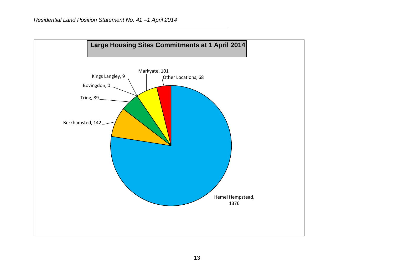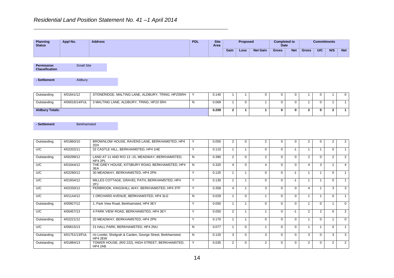**Planning Status Appl No. Address PDL Site Area Proposed Completed to Date Commitments Gain Loss Net Gain Gross Net Gross U/C N/S Net**

**Permission Classification** Small Site

**- Settlement** Aldbury

| Outstanding            | 4/01641/12     | STONERIDGE, MALTING LANE, ALDBURY, TRING, HP235RH | 0.140 |  |  |  |  |  |
|------------------------|----------------|---------------------------------------------------|-------|--|--|--|--|--|
| Outstanding            | 4/00016/14/FUL | 3 MALTING LANE, ALDBURY, TRING, HP23 5RH          | 0.069 |  |  |  |  |  |
| <b>Aldbury Totals:</b> |                |                                                   | 0.209 |  |  |  |  |  |

**-** Settlement **Berkhamsted** 

| Outstanding | 4/01860/10     | BROWNLOW HOUSE, RAVENS LANE, BERKHAMSTED, HP4<br>2DX                   |              | 0.050 |   | O        |          | $\Omega$ |          |               |   |          | 2              |
|-------------|----------------|------------------------------------------------------------------------|--------------|-------|---|----------|----------|----------|----------|---------------|---|----------|----------------|
| U/C         | 4/02202/11     | 32 CASTLE HILL, BERKHAMSTED, HP4 1HE                                   | $\checkmark$ | 0.110 |   |          | $\Omega$ | $\Omega$ | $-1$     |               |   | $\Omega$ |                |
| Outstanding | 4/00299/12     | LAND AT 11 AND R/O 13 -15, MEADWAY, BERKHAMSTED,<br>HP4 2PL            | N            | 0.390 | 2 | $\Omega$ |          | $\Omega$ |          | 2             |   |          | $\overline{2}$ |
| U/C         | 4/01044/12     | THE GREY HOUSE, KITSBURY ROAD, BERKHAMSTED, HP4<br>3EA                 | N            | 0.320 | 4 | $\Omega$ |          | $\Omega$ | $\Omega$ |               | 3 |          |                |
| U/C         | 4/02290/12     | 30 MEADWAY, BERKHAMSTED, HP4 2PN                                       | Υ            | 0.120 |   |          |          | $\Omega$ | -1       |               |   | 0        |                |
| U/C         | 4/01934/12     | MILLES COTTAGE, GRAVEL PATH, BERKHAMSTED, HP4<br>2PJ                   | Υ            | 0.130 |   |          |          | $\Omega$ | -1       |               |   | 0        |                |
| U/C         | 4/02330/12     | PERBROOK, KINGSHILL WAY, BERKHAMSTED, HP4 3TP                          | $\checkmark$ | 0.358 | 4 |          | 3        | $\Omega$ | $\Omega$ |               |   | 3        | 3              |
| U/C         | 4/01144/12     | 1 ORCHARD AVENUE, BERKHAMSTED, HP4 3LG                                 | N            | 0.029 |   | $\Omega$ |          | $\Omega$ | $\Omega$ |               |   | 0        |                |
| Outstanding | 4/00927/12     | 1, Park View Road, Berkhamsted, HP4 3EY                                | Y            | 0.050 |   |          |          | $\Omega$ | $\Omega$ |               |   |          | $\Omega$       |
| U/C         | 4/00457/13     | 4 PARK VIEW ROAD, BERKHAMSTED, HP4 3EY                                 |              | 0.050 | 2 |          |          | $\Omega$ | -1       | $\mathcal{P}$ | 2 | 0        | 2              |
| Outstanding | 4/02221/12     | 20 MEADWAY, BERKHAMSTED, HP4 2PN                                       | $\checkmark$ | 0.170 |   |          |          | $\Omega$ | $\Omega$ |               |   |          | $\Omega$       |
| U/C         | 4/00615/13     | 21 HALL PARK, BERKHAMSTED, HP4 2NU                                     | N            | 0.077 |   | $\Omega$ |          | $\Omega$ | O        |               |   | 0        |                |
| Outstanding | 4/01751/13/FUL | r/o Lorelei, Shelgrah & Carden, George Street, Berkhamsted,<br>HP4 2EW | N            | 0.120 | 3 | $\Omega$ |          | $\Omega$ |          | 3             |   | 3        | 3              |
| Outstanding | 4/01884/13     | TOWER HOUSE, (R/0 222), HIGH STREET, BERKHAMSTED,<br>HP4 2AB           | Υ            | 0.035 | 2 | $\Omega$ | 2        | $\Omega$ | $\Omega$ | 2             |   | 2        | $\overline{2}$ |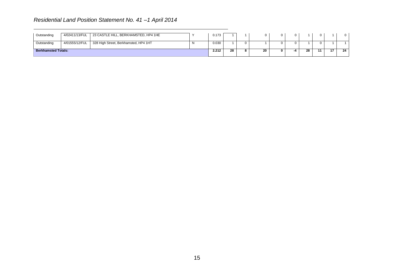| Outstanding                | 4/02411/13/FUL | 23 CASTLE HILL, BERKHAMSTED, HP4 1HE  |   | 0.173 |    |    |  |    |  |    |
|----------------------------|----------------|---------------------------------------|---|-------|----|----|--|----|--|----|
| Outstanding                | 4/01555/12/FUL | 328 High Street, Berkhamsted, HP4 1HT | N | 0.030 |    |    |  |    |  |    |
| <b>Berkhamsted Totals:</b> |                |                                       |   | 2.212 | 28 | 20 |  | 28 |  | 24 |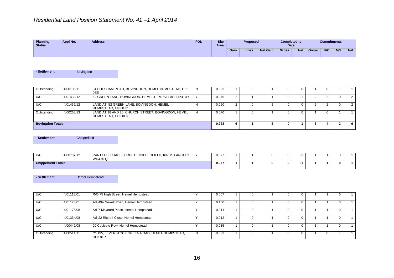| Planning<br><b>Status</b> | Appl No. | <b>Address</b> | <b>PDL</b> | <b>Site</b><br><b>Area</b> |      | <b>Proposed</b> |                 | <b>Completed to</b><br><b>Date</b> |            |              | <b>Commitments</b> |     |            |
|---------------------------|----------|----------------|------------|----------------------------|------|-----------------|-----------------|------------------------------------|------------|--------------|--------------------|-----|------------|
|                           |          |                |            |                            | Gain | Loss            | <b>Net Gain</b> | <b>Gross</b>                       | <b>Net</b> | <b>Gross</b> | U/C                | N/S | <b>Net</b> |

**- Settlement Bovingdon** 

| Outstanding              | 4/00106/11 | 34 CHESHAM ROAD, BOVINGDON, HEMEL HEMPSTEAD, HP3<br>0EE                  | 0.023 |  |  |  |  |  |
|--------------------------|------------|--------------------------------------------------------------------------|-------|--|--|--|--|--|
| U/C                      | 4/01438/12 | 52 GREEN LANE, BOVINGDON, HEMEL HEMPSTEAD, HP3 0JY                       | 0.075 |  |  |  |  |  |
| U/C                      | 4/01439/12 | LAND AT, 52 GREEN LANE, BOVINGDON, HEMEL<br>HEMPSTEAD, HP3 0JY           | 0.060 |  |  |  |  |  |
| Outstanding              | 4/00263/13 | LAND AT 18 AND 20, CHURCH STREET, BOVINGDON, HEMEL<br>HEMPSTEAD, HP3 OLU | 0.070 |  |  |  |  |  |
| <b>Bovingdon Totals:</b> |            |                                                                          | 0.228 |  |  |  |  |  |

**- Settlement** Chipperfield

| U/C                         | 4/00797/12 | ∟ CROFT<br>, CHIPPERFIELD, KINGS LANGLEY,<br>PANTILES.<br><b>CHAPEI</b><br><b>WD4 9EQ</b> | 0.077 |  |  |  |  |  |
|-----------------------------|------------|-------------------------------------------------------------------------------------------|-------|--|--|--|--|--|
| <b>Chipperfield Totals:</b> |            |                                                                                           | 0.077 |  |  |  |  |  |

**- Settlement Hemel Hempstead** 

| U/C         | 4/01113/01 | R/O 75 High Street, Hemel Hempstead                        |   | 0.007 |              |  |  |          |  |
|-------------|------------|------------------------------------------------------------|---|-------|--------------|--|--|----------|--|
| U/C         | 4/01173/01 | Adj 49a Newell Road, Hemel Hempstead                       |   | 0.100 |              |  |  |          |  |
| U/C         | 4/01176/08 | Adj 7 Maynard Place, Hemel Hempstead                       |   | 0.011 |              |  |  |          |  |
| U/C         | 4/01334/08 | Adj 22 Ritcroft Close, Hemel Hempstead                     |   | 0.012 |              |  |  |          |  |
| U/C         | 4/00442/08 | 20 Codicote Row, Hemel Hempstead                           |   | 0.035 |              |  |  |          |  |
| Outstanding | 4/00511/11 | r/o 195, LEVERSTOCK GREEN ROAD, HEMEL HEMPSTEAD,<br>HP38LP | N | 0.033 | $\mathbf{U}$ |  |  | $^{(1)}$ |  |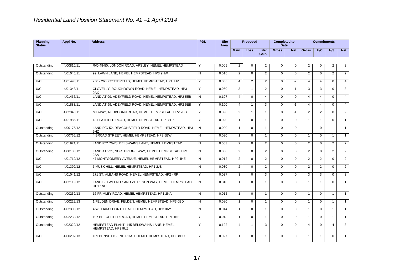| <b>Planning</b><br><b>Status</b> | Appl No.   | <b>Address</b>                                                   | <b>PDL</b>     | <b>Site</b><br>Area |                | Proposed       |                    | <b>Completed to</b><br><b>Date</b> |             |                | <b>Commitments</b> |                |                |
|----------------------------------|------------|------------------------------------------------------------------|----------------|---------------------|----------------|----------------|--------------------|------------------------------------|-------------|----------------|--------------------|----------------|----------------|
|                                  |            |                                                                  |                |                     | Gain           | <b>Loss</b>    | <b>Net</b><br>Gain | <b>Gross</b>                       | <b>Net</b>  | <b>Gross</b>   | <b>U/C</b>         | N/S            | <b>Net</b>     |
|                                  |            |                                                                  |                |                     |                |                |                    |                                    |             |                |                    |                |                |
| Outstanding                      | 4/00810/11 | R/O 48-50, LONDON ROAD, APSLEY, HEMEL HEMPSTEAD                  | Υ              | 0.005               | $\overline{2}$ | $\mathbf 0$    | $\overline{2}$     | $\mathbf 0$                        | $\mathbf 0$ | $\overline{2}$ | $\Omega$           | $\overline{2}$ | $\overline{2}$ |
| Outstanding                      | 4/01045/11 | 99. LAWN LANE. HEMEL HEMPSTEAD. HP3 9HW                          | $\mathsf{N}$   | 0.016               | $\mathfrak{p}$ | $\Omega$       | 2                  | $\Omega$                           | $\Omega$    | $\mathcal{P}$  | $\Omega$           | $\overline{2}$ | 2              |
| U/C                              | 4/01493/11 | 256 - 260, COTTERELLS, HEMEL HEMPSTEAD, HP1 1JP                  | Y              | 0.056               | $\overline{4}$ | $\overline{2}$ | $\overline{2}$     | $\Omega$                           | $-2$        | $\overline{4}$ | $\overline{4}$     | $\Omega$       | $\overline{4}$ |
| U/C                              | 4/01343/11 | CLOVELLY, ROUGHDOWN ROAD, HEMEL HEMPSTEAD, HP3<br>9AX            | Y              | 0.050               | 3              | $\mathbf{1}$   | 2                  | $\Omega$                           | $-1$        | 3              | 3                  | $\Omega$       | 3              |
| U/C                              | 4/01466/11 | LAND AT 99, ADEYFIELD ROAD, HEMEL HEMPSTEAD, HP2 5EB             | $\overline{N}$ | 0.107               | $\overline{4}$ | $\mathbf 0$    | $\overline{4}$     | $\Omega$                           | $\Omega$    | $\overline{4}$ | $\overline{4}$     | $\Omega$       | $\overline{4}$ |
| U/C                              | 4/01883/11 | LAND AT 99. ADEYFIELD ROAD. HEMEL HEMPSTEAD. HP2 5EB             | Y              | 0.100               | $\overline{4}$ | $\overline{1}$ | 3                  | $\Omega$                           | $-1$        | $\overline{4}$ | $\overline{4}$     | $\Omega$       | $\overline{4}$ |
| U/C                              | 4/02340/11 | MIDWAY, REDBOURN ROAD, HEMEL HEMPSTEAD, HP2 7BB                  | Y              | 0.090               | $\overline{2}$ | $\mathbf{1}$   | -1                 | $\Omega$                           | $-1$        | $\overline{2}$ | $\overline{2}$     | $\Omega$       | $\overline{2}$ |
| U/C                              | 4/01985/11 | 18 FLATFIELD ROAD. HEMEL HEMPSTEAD. HP3 8EX                      | Y              | 0.020               | $\mathbf{1}$   | $\Omega$       | $\mathbf{1}$       | $\Omega$                           | $\Omega$    | 1              | -1                 | $\Omega$       | $\mathbf{1}$   |
| Outstanding                      | 4/00176/12 | LAND R/O 52, DEACONSFIELD ROAD, HEMEL HEMPSTEAD, HP3<br>9HZ      | N              | 0.020               | $\mathbf{1}$   | $\Omega$       | $\mathbf{1}$       | $\Omega$                           | $\Omega$    | 1              | $\Omega$           | $\mathbf{1}$   | $\overline{1}$ |
| Outstanding                      | 4/00766/12 | 4 BROAD STREET, HEMEL HEMPSTEAD, HP2 5BW                         | $\mathsf{N}$   | 0.030               | $\mathbf{1}$   | $\Omega$       | $\mathbf{1}$       | $\Omega$                           | $\Omega$    | $\mathbf{1}$   | $\Omega$           | $\mathbf{1}$   | $\overline{1}$ |
| Outstanding                      | 4/01921/11 | LAND R/O 76-78, BELSWAINS LANE, HEMEL HEMPSTEAD                  | N              | 0.063               | $\overline{2}$ | $\Omega$       | $\overline{2}$     | $\mathbf 0$                        | $\mathbf 0$ | $\overline{2}$ | $\Omega$           | $\overline{2}$ | $\overline{2}$ |
| Outstanding                      | 4/00133/12 | LAND AT 221, NORTHRIDGE WAY, HEMEL HEMPSTEAD, HP1<br>2AA         | N              | 0.050               | $\overline{2}$ | $\Omega$       | $\overline{2}$     | $\Omega$                           | $\Omega$    | $\overline{2}$ | $\Omega$           | $\overline{2}$ | 2              |
| U/C                              | 4/01710/12 | 47 MONTGOMERY AVENUE. HEMEL HEMPSTEAD, HP2 4HE                   | ${\sf N}$      | 0.012               | 2              | $\mathbf 0$    | $\overline{2}$     | $\mathbf 0$                        | $\mathbf 0$ | $\overline{2}$ | $\overline{2}$     | $\mathbf 0$    | $\overline{2}$ |
| U/C                              | 4/01390/12 | 6 MUSK HILL, HEMEL HEMPSTEAD, HP1 2JB                            | N              | 0.030               | 2              | $\Omega$       | $\overline{2}$     | $\Omega$                           | $\mathbf 0$ | $\overline{2}$ | $\overline{2}$     | $\Omega$       | 2              |
| U/C                              | 4/01041/12 | 271 ST. ALBANS ROAD. HEMEL HEMPSTEAD. HP2 4RP                    | Y              | 0.037               | 3              | $\Omega$       | 3                  | $\Omega$                           | $\Omega$    | 3              | 3                  | $\Omega$       | 3              |
| U/C                              | 4/02119/12 | LAND BETWEEN 17 AND 21, RESON WAY, HEMEL HEMPSTEAD,<br>HP1 1NU   | N              | 0.040               | $\mathbf{1}$   | $\Omega$       | $\mathbf{1}$       | $\Omega$                           | $\Omega$    | 1              | $\overline{1}$     | $\Omega$       | $\mathbf{1}$   |
| Outstanding                      | 4/00232/13 | 16 FRIMLEY ROAD, HEMEL HEMPSTEAD, HP1 2NA                        | N              | 0.015               | $\mathbf{1}$   | $\mathbf 0$    | $\mathbf{1}$       | $\mathbf 0$                        | $\mathbf 0$ | $\mathbf{1}$   | $\mathbf 0$        | $\mathbf{1}$   | $\mathbf{1}$   |
| Outstanding                      | 4/00222/13 | 1 FELDEN DRIVE, FELDEN, HEMEL HEMPSTEAD, HP3 0BD                 | N              | 0.080               | $\mathbf{1}$   | $\Omega$       | $\mathbf{1}$       | $\Omega$                           | $\Omega$    | 1              | $\Omega$           | $\mathbf{1}$   | $\mathbf{1}$   |
| Outstanding                      | 4/02300/12 | 4 WILLIAM COURT, HEMEL HEMPSTEAD, HP3 0AY                        | $\overline{N}$ | 0.014               | $\mathbf{1}$   | $\mathbf 0$    | $\mathbf{1}$       | $\mathbf 0$                        | $\mathbf 0$ | $\mathbf{1}$   | $\mathbf 0$        | $\mathbf{1}$   | $\mathbf{1}$   |
| Outstanding                      | 4/02239/12 | 107 BEECHFIELD ROAD, HEMEL HEMPSTEAD, HP1 1NZ                    | Y              | 0.018               | $\mathbf{1}$   | $\Omega$       | $\mathbf{1}$       | $\Omega$                           | $\Omega$    | $\mathbf{1}$   | $\Omega$           | $\mathbf{1}$   | $\overline{1}$ |
| Outstanding                      | 4/02329/12 | HEMPSTEAD PLANT, 145 BELSWAINS LANE, HEMEL<br>HEMPSTEAD, HP3 9UZ | Y              | 0.122               | $\overline{4}$ | $\mathbf{1}$   | 3                  | $\mathbf 0$                        | $\mathbf 0$ | $\overline{4}$ | $\mathbf 0$        | $\overline{4}$ | 3              |
| U/C                              | 4/00292/13 | 109 BENNETTS END ROAD, HEMEL HEMPSTEAD, HP3 8DU                  | Y              | 0.027               | $\mathbf{1}$   | $\Omega$       | $\mathbf{1}$       | $\Omega$                           | $\Omega$    | 1              | -1                 | $\Omega$       | $\overline{1}$ |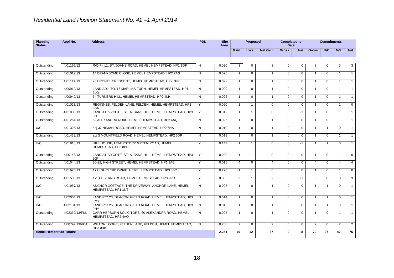| <b>Planning</b><br><b>Status</b> | Appl No.       | <b>Address</b>                                                          | <b>PDL</b>     | <b>Site</b><br>Area |                | <b>Proposed</b> |                 | <b>Completed to</b><br><b>Date</b> |                |                | <b>Commitments</b> |                |                |
|----------------------------------|----------------|-------------------------------------------------------------------------|----------------|---------------------|----------------|-----------------|-----------------|------------------------------------|----------------|----------------|--------------------|----------------|----------------|
|                                  |                |                                                                         |                |                     | Gain           | Loss            | <b>Net Gain</b> | <b>Gross</b>                       | <b>Net</b>     | <b>Gross</b>   | <b>U/C</b>         | N/S            | <b>Net</b>     |
|                                  |                |                                                                         |                |                     |                |                 |                 |                                    |                |                |                    |                |                |
| Outstanding                      | 4/01167/12     | R/O 7 - 11, ST. JOHNS ROAD, HEMEL HEMPSTEAD, HP1 1QF                    | N              | 0.030               | 3              | $\Omega$        | 3               | $\Omega$                           | $\mathbf 0$    | 3              | $\Omega$           | 3              | 3              |
| Outstanding                      | 4/01012/13     | 14 BRANKSOME CLOSE, HEMEL HEMPSTEAD, HP2 7AG                            | N              | 0.026               | 1              | $\Omega$        | $\mathbf{1}$    | $\Omega$                           | $\mathbf 0$    | $\mathbf{1}$   | $\Omega$           |                | $\mathbf{1}$   |
| Outstanding                      | 4/01114/13     | 78 BRONTE CRESCENT, HEMEL HEMPSTEAD, HP2 7PR                            | N              | 0.022               | $\mathbf{1}$   | $\Omega$        | $\mathbf{1}$    | $\Omega$                           | $\Omega$       | $\mathbf{1}$   | $\Omega$           | -1             | $\overline{1}$ |
| Outstanding                      | 4/00912/13     | LAND ADJ. TO. 16 MARLINS TURN. HEMEL HEMPSTEAD. HP1<br>3LQ              | N              | 0.009               | $\mathbf{1}$   | $\mathbf 0$     | $\mathbf{1}$    | $\mathbf 0$                        | 0              | $\mathbf{1}$   | $\Omega$           |                | $\overline{1}$ |
| Outstanding                      | 4/00942/13     | 64 TURNERS HILL, HEMEL HEMPSTEAD, HP2 4LH                               | $\mathsf{N}$   | 0.022               | $\mathbf{1}$   | $\Omega$        | $\mathbf{1}$    | $\Omega$                           | $\Omega$       | $\mathbf{1}$   | $\Omega$           |                | $\overline{1}$ |
| Outstanding                      | 4/01028/13     | REGINNES, FELDEN LANE, FELDEN, HEMEL HEMPSTEAD, HP3<br>0BA              | Y              | 0.050               | $\mathbf{1}$   | 1               | $\Omega$        | $\Omega$                           | $\Omega$       | $\overline{1}$ | $\Omega$           |                | $\Omega$       |
| Outstanding                      | 4/01038/13     | LAND AT IVYCOTE, ST. ALBANS HILL, HEMEL HEMPSTEAD, HP3<br>9JP           | Y              | 0.019               | $\mathbf{1}$   | $\overline{1}$  | $\Omega$        | $\Omega$                           | $-1$           | $\mathbf{1}$   | $\Omega$           | $\overline{1}$ | $\overline{1}$ |
| Outstanding                      | 4/01261/13     | 62 ALEXANDRA ROAD, HEMEL HEMPSTEAD, HP2 4AQ                             | $\mathsf{N}$   | 0.025               | $\mathbf{1}$   | $\Omega$        | $\overline{1}$  | $\Omega$                           | $\Omega$       | $\mathbf{1}$   | $\Omega$           | $\overline{1}$ | $\overline{1}$ |
| U/C                              | 4/01325/13     | adj 37 NINIAN ROAD, HEMEL HEMPSTEAD, HP2 6NA                            | N              | 0.010               | $\mathbf{1}$   | $\mathbf 0$     | $\mathbf{1}$    | $\mathbf 0$                        | $\Omega$       | $\mathbf{1}$   | $\mathbf{1}$       | $\Omega$       | $\overline{1}$ |
| Outstanding                      | 4/01432/13     | adi 3 MOUNTFIELD ROAD. HEMEL HEMPSTEAD. HP2 5DR                         | $\mathsf{N}$   | 0.013               | $\mathbf{1}$   | $\Omega$        | $\overline{1}$  | $\Omega$                           | $\Omega$       | $\mathbf{1}$   | $\Omega$           | $\overline{1}$ | $\overline{1}$ |
| U/C                              | 4/01818/13     | HILL HOUSE, LEVERSTOCK GREEN ROAD, HEMEL<br>HEMPSTEAD, HP3 8PR          | Y              | 0.147               | $\mathbf{1}$   | $\overline{1}$  | $\Omega$        | $\Omega$                           | $-1$           | $\mathbf{1}$   | $\mathbf{1}$       | $\Omega$       | $\overline{1}$ |
| Outstanding                      | 4/00146/13     | LAND AT IVYCOTE, ST. ALBANS HILL, HEMEL HEMPSTEAD, HP3<br>9JP           | Y              | 0.020               | $\mathbf{1}$   | $\mathbf{1}$    | $\Omega$        | $\Omega$                           | $\Omega$       | $\mathbf{1}$   | $\Omega$           | $\overline{1}$ | $\mathbf 0$    |
| Outstanding                      | 4/01044/13     | 20-22. HIGH STREET. HEMEL HEMPSTEAD. HP1 3AE                            | Y              | 0.015               | $\overline{4}$ | $\Omega$        | $\overline{4}$  | $\Omega$                           | $\Omega$       | $\overline{4}$ | $\Omega$           | $\overline{4}$ | $\overline{4}$ |
| Outstanding                      | 4/01620/13     | 17 HIGHCLERE DRIVE, HEMEL HEMPSTEAD, HP3 8BY                            | Y              | 0.220               | $\mathbf{1}$   | $\mathbf{1}$    | $\Omega$        | $\mathbf 0$                        | $\Omega$       | $\mathbf{1}$   | $\Omega$           | $\overline{1}$ | $\overline{0}$ |
| Outstanding                      | 4/01533/13     | 175 EBBERNS ROAD. HEMEL HEMPSTEAD. HP3 9RD                              | Y              | 0.055               | 3              | $\mathbf{1}$    | 2               | $\Omega$                           | $-1$           | 3              | $\Omega$           | $\mathcal{R}$  | 3              |
| U/C                              | 4/01957/13     | ANCHOR COTTAGE, THE DRIVEWAY, ANCHOR LANE, HEMEL<br>HEMPSTEAD, HP1 1NT  | N              | 0.026               | $\mathbf{1}$   | $\Omega$        | $\mathbf{1}$    | $\Omega$                           | $\Omega$       | $\mathbf{1}$   | $\mathbf 1$        | $\Omega$       | $\mathbf{1}$   |
| U/C                              | 4/02064/13     | LAND R/O 23, DEACONSFIELD ROAD, HEMEL HEMPSTEAD, HP3<br>9MY             | N              | 0.014               | $\mathbf{1}$   | $\Omega$        | $\mathbf{1}$    | $\Omega$                           | $\Omega$       | $\mathbf{1}$   | $\mathbf{1}$       | $\Omega$       | $\overline{1}$ |
| U/C                              | 4/02134/13     | LAND R/O 25, DEACONSFIELD ROAD, HEMEL HEMPSTEAD, HP3<br>9HY             | $\overline{N}$ | 0.015               | $\mathbf{1}$   | $\overline{0}$  | $\mathbf{1}$    | $\Omega$                           | $\overline{0}$ | $\mathbf{1}$   | $\mathbf{1}$       | $\Omega$       | $\overline{1}$ |
| Outstanding                      | 4/02330/13/FUL | CARR HEPBURN SOLICITORS, 60 ALEXANDRA ROAD, HEMEL<br>HEMPSTEAD, HP2 4AQ | N              | 0.025               | $\mathbf{1}$   | $\Omega$        | $\mathbf{1}$    | $\Omega$                           | $\Omega$       | $\mathbf{1}$   | $\Omega$           | $\overline{1}$ | $\overline{1}$ |
| Outstanding                      | 4/00792/13/VOT | WILTON LODGE, FELDEN LANE, FELDEN, HEMEL HEMPSTEAD.<br>HP3 0BB          | N              | 0.288               | 2              | $\Omega$        | $\overline{2}$  | $\Omega$                           | $\Omega$       | $\overline{2}$ | $\Omega$           | 2              | 2              |
| <b>Hemel Hempstead Totals:</b>   |                |                                                                         |                | 2.251               | 79             | 12              | 67              | 0                                  | -8             | 79             | $\overline{37}$    | 42             | 75             |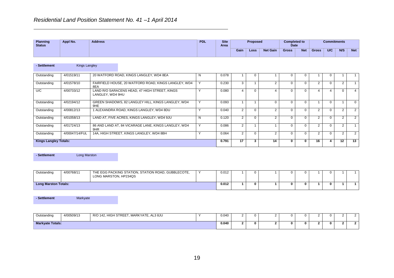| Planning<br><b>Status</b> | Appl No. | <b>Address</b> | <b>PDL</b> | <b>Site</b><br>Area |      | <b>Proposed</b> |                 | <b>Completed to</b><br><b>Date</b> |            |              | <b>Commitments</b> |     |            |
|---------------------------|----------|----------------|------------|---------------------|------|-----------------|-----------------|------------------------------------|------------|--------------|--------------------|-----|------------|
|                           |          |                |            |                     | Gain | Loss            | <b>Net Gain</b> | <b>Gross</b>                       | <b>Net</b> | <b>Gross</b> | <b>U/C</b>         | N/S | <b>Net</b> |

| - Settlement                 | Kings Langley  |                  |                                                      |   |       |                |    |          |          |                |          |               |                |
|------------------------------|----------------|------------------|------------------------------------------------------|---|-------|----------------|----|----------|----------|----------------|----------|---------------|----------------|
| Outstanding                  | 4/01519/11     |                  | 20 WATFORD ROAD, KINGS LANGLEY, WD4 8EA              | N | 0.078 |                |    | 0        |          |                |          |               |                |
| Outstanding                  | 4/01578/10     | 8EA              | FAIRFIELD HOUSE, 20 WATFORD ROAD, KINGS LANGLEY, WD4 |   | 0.230 |                |    | 0        |          | 2              | $\Omega$ |               |                |
| U/C                          | 4/00733/12     | LANGLEY, WD4 9HU | LAND R/O SARACENS HEAD, 47 HIGH STREET, KINGS        |   | 0.080 |                |    | 0        | $\Omega$ |                |          | U             |                |
| Outstanding                  | 4/02194/12     | 9HE              | GREEN SHADOWS, 82 LANGLEY HILL, KINGS LANGLEY, WD4   |   | 0.093 |                |    | 0        |          |                |          |               | $\Omega$       |
| Outstanding                  | 4/00812/13     |                  | 1 ALEXANDRA ROAD, KINGS LANGLEY, WD4 8DU             |   | 0.040 |                |    | 0        |          |                | $\Omega$ |               | 2              |
| Outstanding                  | 4/01058/13     |                  | LAND AT, FIVE ACRES, KINGS LANGLEY, WD4 9JU          | N | 0.120 |                |    | 0        |          | 2              | $\Omega$ |               | $\overline{2}$ |
| Outstanding                  | 4/01724/13     | 9HR              | 86 AND LAND AT, 84 VICARAGE LANE, KINGS LANGLEY, WD4 |   | 0.086 | 2              |    | 0        |          | 2              |          |               |                |
| Outstanding                  | 4/00047/14/FUL |                  | 14A, HIGH STREET, KINGS LANGLEY, WD4 8BH             |   | 0.064 | $\overline{2}$ | 2  | $\Omega$ |          | $\overline{2}$ | $\Omega$ | $\mathcal{D}$ | 2              |
| <b>Kings Langley Totals:</b> |                |                  |                                                      |   | 0.791 | 17             | 14 | 0        | 0        | 16             |          | 12            | 13             |

**- Settlement** Long Marston

| Outstanding                 | 4/00768/11 | THE EGG PACKING STATION, STATION ROAD, GUBBLECOTE,<br>LONG MARSTON, HP234QS | 0.012 |  |  |  |  |  |
|-----------------------------|------------|-----------------------------------------------------------------------------|-------|--|--|--|--|--|
| <b>Long Marston Totals:</b> | 0.012      |                                                                             |       |  |  |  |  |  |

**- Settlement** Markyate

| Outstanding             | 4/00509/13 | R/O 142, HIGH STREET,<br>, MARKYATE, AL3 8JU | 0.040 | ,, |  |  |  |  |
|-------------------------|------------|----------------------------------------------|-------|----|--|--|--|--|
| <b>Markyate Totals:</b> |            |                                              | 0.040 |    |  |  |  |  |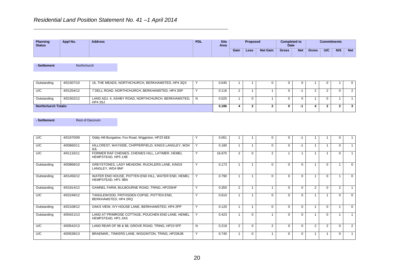| Planning<br><b>Status</b> | Appl No. | <b>Address</b> | <b>PDL</b> | <b>Site</b><br><b>Area</b> |      | <b>Proposed</b> |                 | <b>Completed to</b><br>Date |            |              | <b>Commitments</b> |     |            |
|---------------------------|----------|----------------|------------|----------------------------|------|-----------------|-----------------|-----------------------------|------------|--------------|--------------------|-----|------------|
|                           |          |                |            |                            | Gain | Loss            | <b>Net Gain</b> | <b>Gross</b>                | <b>Net</b> | <b>Gross</b> | U/C                | N/S | <b>Net</b> |

**- Settlement** Northchurch

| Outstanding | 4/01507/10                 | 16, THE MEADS, NORTHCHURCH, BERKHAMSTED, HP4 3QX                       |  | 0.045 |  |  |     |  |  |
|-------------|----------------------------|------------------------------------------------------------------------|--|-------|--|--|-----|--|--|
| U/C         | 4/01254/12                 | 7 DELL ROAD, NORTHCHURCH, BERKHAMSTED, HP4 3SP                         |  | 0.116 |  |  |     |  |  |
| Outstanding | 4/01502/12                 | LAND ADJ. 4, ASHBY ROAD, NORTHCHURCH, BERKHAMSTED, N<br><b>HP4 3SJ</b> |  | 0.025 |  |  | . . |  |  |
|             | <b>Northchurch Totals:</b> |                                                                        |  |       |  |  |     |  |  |

**- Settlement Rest of Dacorum** 

| U/C         | 4/01670/09 | Oddy Hill Bungalow, Fox Road, Wigginton, HP23 6EE                        |              | 0.061  |                |          |                |   |          |                |          |                |                |
|-------------|------------|--------------------------------------------------------------------------|--------------|--------|----------------|----------|----------------|---|----------|----------------|----------|----------------|----------------|
| U/C         | 4/00660/11 | HILLCREST, WAYSIDE, CHIPPERFIELD, KINGS LANGLEY, WD4<br>9JL              |              | 0.180  |                |          | $\Omega$       |   | $-1$     |                |          |                |                |
| U/C         | 4/01116/11 | FORMER RAF CHENIES, CHENIES HILL, LATIMER, HEMEL<br>HEMPSTEAD, HP5 1XB   | $\checkmark$ | 16.670 | 2              | $\Omega$ | $\mathfrak{p}$ |   |          |                |          | n.             |                |
| Outstanding | 4/00868/10 | GREYSTONES, LADY MEADOW, RUCKLERS LANE, KINGS<br>LANGLEY, WD4 9NF        | $\checkmark$ | 0.173  |                |          | $\Omega$       |   | $\Omega$ |                |          |                | $\Omega$       |
| Outstanding | 4/01456/12 | WATER END HOUSE, POTTEN END HILL, WATER END, HEMEL<br>HEMPSTEAD, HP1 3BN | $\checkmark$ | 0.790  |                |          | $\Omega$       |   | $\Omega$ |                |          |                | $\Omega$       |
| Outstanding | 4/01914/12 | GAMNEL FARM, BULBOURNE ROAD, TRING, HP235HF                              | $\sqrt{ }$   | 0.350  | 2              |          |                | 0 | $\Omega$ | $\overline{2}$ |          | $\overline{2}$ |                |
| U/C         | 4/02249/12 | TANGLEWOOD, FRITHSDEN COPSE, POTTEN END,<br>BERKHAMSTED, HP4 2RQ         |              | 0.610  |                |          | $\Omega$       | U | $\Omega$ |                |          | 0              | $\Omega$       |
| Outstanding | 4/02108/12 | OAKS VIEW, IVY HOUSE LANE, BERKHAMSTED, HP4 2PP                          | $\checkmark$ | 0.120  |                |          | $\Omega$       | 0 | $\Omega$ |                | $\Omega$ |                | $\Omega$       |
| Outstanding | 4/00421/13 | LAND AT PRIMROSE COTTAGE, POUCHEN END LANE, HEMEL<br>HEMPSTEAD, HP1 2AS  | $\checkmark$ | 0.423  |                | $\Omega$ |                |   | $\Omega$ |                |          |                |                |
| U/C         | 4/00542/13 | LAND REAR OF 96 & 98, GROVE ROAD, TRING, HP23 5FF                        | N            | 0.219  | $\overline{2}$ | $\Omega$ | $\mathcal{P}$  | 0 | $\Omega$ | 2              | 2        |                | $\overline{2}$ |
| U/C         | 4/00539/13 | BRAEMAR., TINKERS LANE, WIGGINTON, TRING, HP236JB                        | Y            | 0.740  |                | $\Omega$ |                | 0 | $\Omega$ |                |          | 0              |                |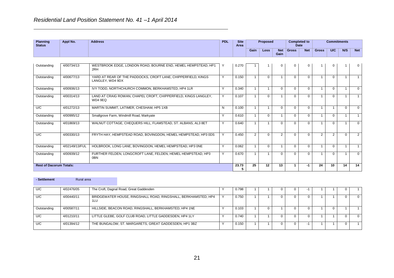**Rest of Dacorum Totals:** 

| <b>Planning</b><br><b>Status</b> | Appl No.       | <b>Address</b>                                                                    | <b>PDL</b>   | <b>Site</b><br>Area |                | Proposed     |                    | <b>Completed to</b><br><b>Date</b> |             |              | <b>Commitments</b> |          |            |
|----------------------------------|----------------|-----------------------------------------------------------------------------------|--------------|---------------------|----------------|--------------|--------------------|------------------------------------|-------------|--------------|--------------------|----------|------------|
|                                  |                |                                                                                   |              |                     | Gain           | Loss         | <b>Net</b><br>Gain | <b>Gross</b>                       | <b>Net</b>  | <b>Gross</b> | U/C                | N/S      | <b>Net</b> |
|                                  |                |                                                                                   |              |                     |                |              |                    |                                    |             |              |                    |          |            |
| Outstanding                      | 4/00734/13     | WESTBROOK EDGE, LONDON ROAD, BOURNE END, HEMEL HEMPSTEAD, HP1<br>2RH              |              | 0.270               |                |              | $\mathbf{0}$       | $\Omega$                           | $\mathbf 0$ |              |                    |          | 0          |
| Outstanding                      | 4/00677/13     | YARD AT REAR OF THE PADDOCKS, CROFT LANE, CHIPPERFIELD, KINGS<br>LANGLEY. WD4 9DX | $\checkmark$ | 0.150               |                | $\Omega$     |                    | $\Omega$                           | $\Omega$    |              | $\Omega$           |          |            |
| Outstanding                      | 4/00936/13     | IVY TODD, NORTHCHURCH COMMON, BERKHAMSTED, HP4 1LR                                | $\checkmark$ | 0.340               | $\mathbf{1}$   | $\mathbf{1}$ | $\Omega$           | $\Omega$                           | $\Omega$    |              | $\Omega$           |          | $\Omega$   |
| Outstanding                      | 4/00314/13     | LAND AT CRAIG ROWAN, CHAPEL CROFT, CHIPPERFIELD, KINGS LANGLEY,<br>WD4 9EQ        | $\checkmark$ | 0.107               |                | $\Omega$     |                    | $\Omega$                           | $\Omega$    |              | $\Omega$           |          |            |
| U/C                              | 4/01272/13     | MARTIN SUMMIT, LATIMER, CHESHAM, HP5 1XB                                          | N            | 0.100               | $\mathbf{1}$   | $\mathbf{1}$ | $\Omega$           | $\Omega$                           | $\Omega$    |              |                    | $\Omega$ | $\Omega$   |
| Outstanding                      | 4/00995/12     | Smallgrove Farm, Windmill Road, Markyate                                          | $\checkmark$ | 0.610               |                | $\Omega$     |                    | $\Omega$                           | $\Omega$    |              | $\Omega$           |          |            |
| Outstanding                      | 4/01869/13     | WALNUT COTTAGE, CHEQUERS HILL, FLAMSTEAD, ST. ALBANS, AL3 8ET                     | $\checkmark$ | 0.640               |                |              | $\Omega$           | $\Omega$                           | $\Omega$    |              | 0                  |          | $\Omega$   |
| U/C                              | 4/00330/13     | FRYTH HAY, HEMPSTEAD ROAD, BOVINGDON, HEMEL HEMPSTEAD, HP3 0DS                    |              | 0.450               | $\overline{2}$ | $\Omega$     | $\overline{2}$     | $\Omega$                           | $\Omega$    | 2            | 2                  | $\Omega$ | 2          |
| Outstanding                      | 4/02149/13/FUL | HOLBROOK, LONG LANE, BOVINGDON, HEMEL HEMPSTEAD, HP3 ONE                          | v            | 0.062               | 1              | $\Omega$     |                    | $\Omega$                           | $\Omega$    |              | $\Omega$           |          |            |
| Outstanding                      | 4/00939/12     | FURTHER FELDEN, LONGCROFT LANE, FELDEN, HEMEL HEMPSTEAD, HP3<br>0BN               |              | 0.670               |                |              | $\Omega$           | $\Omega$                           | $\Omega$    |              | 0                  |          | $\Omega$   |

| - Settlement | Rural area |                                                                       |       |  |  |  |  |
|--------------|------------|-----------------------------------------------------------------------|-------|--|--|--|--|
| U/C          | 4/02476/05 | The Croft, Dagnal Road, Great Gaddesden                               | 0.798 |  |  |  |  |
| U/C          | 4/00440/11 | BRIDGEWATER HOUSE, RINGSHALL ROAD, RINGSHALL, BERKHAMSTED, HP4<br>1LU | 0.750 |  |  |  |  |
| Outstanding  | 4/00587/11 | HILLSIDE, BEACON ROAD, RINGSHALL, BERKHAMSTED, HP4 1NE                | 0.103 |  |  |  |  |
| U/C          | 4/01210/11 | LITTLE GLEBE, GOLF CLUB ROAD, LITTLE GADDESDEN, HP4 1LY               | 0.740 |  |  |  |  |
| U/C          | 4/01394/12 | THE BUNGALOW, ST. MARGARETS, GREAT GADDESDEN, HP1 3BZ                 | 0.150 |  |  |  |  |

 $\frac{23.73}{5}$ 

**25 12 13 1 -1 24 10 14 14**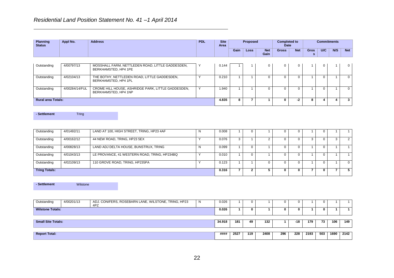| <b>Planning</b><br><b>Status</b> | Appl No.       | <b>Address</b>                                                             | <b>PDL</b> | <b>Site</b><br>Area |      | <b>Proposed</b> |                    | <b>Completed to</b><br>Date |            |                  | <b>Commitments</b> |     |            |
|----------------------------------|----------------|----------------------------------------------------------------------------|------------|---------------------|------|-----------------|--------------------|-----------------------------|------------|------------------|--------------------|-----|------------|
|                                  |                |                                                                            |            |                     | Gain | <b>Loss</b>     | <b>Net</b><br>Gain | <b>Gross</b>                | <b>Net</b> | <b>Gros</b><br>s | U/C                | N/S | <b>Net</b> |
| Outstanding                      | 4/00797/13     | MOSSHALL FARM, NETTLEDEN ROAD, LITTLE GADDESDEN,<br>BERKHAMSTED, HP4 1PE   |            | 0.144               |      |                 |                    |                             | 0          |                  | 0                  |     | -0 I       |
| Outstanding                      | 4/02104/13     | THE BOTHY, NETTLEDEN ROAD, LITTLE GADDESDEN,<br>BERKHAMSTED, HP4 1PL       |            | 0.210               |      |                 |                    |                             |            |                  |                    |     | $\Omega$   |
| Outstanding                      | 4/00284/14/FUL | CROME HILL HOUSE, ASHRIDGE PARK, LITTLE GADDESDEN,<br>BERKHAMSTED, HP4 1NP |            | 1.940               |      |                 |                    |                             |            |                  |                    |     | $\Omega$   |

**Rural area Totals: 4.835 8 7 1 0 -2 8 4 4 3**

**- Settlement** Tring

| Outstanding          | 4/01492/11 | LAND AT 100, HIGH STREET, TRING, HP23 4AF    | N | 0.008 |   |    |  |  |  |  |
|----------------------|------------|----------------------------------------------|---|-------|---|----|--|--|--|--|
| Outstanding          | 4/00162/12 | 44 NEW ROAD, TRING, HP23 5EX                 |   | 0.076 | 3 |    |  |  |  |  |
| Outstanding          | 4/00828/13 | LAND ADJ DELTA HOUSE, BUNSTRUX, TRING        | N | 0.099 |   | 0. |  |  |  |  |
| Outstanding          | 4/01043/13 | LE PROVANCE, 41 WESTERN ROAD, TRING, HP234BQ |   | 0.010 |   |    |  |  |  |  |
| Outstanding          | 4/02109/13 | 110 GROVE ROAD, TRING, HP235PA               |   | 0.123 |   |    |  |  |  |  |
| <b>Tring Totals:</b> |            |                                              |   |       |   |    |  |  |  |  |

**- Settlement** Wilstone

| Outstanding               | 4/00201/13 | ADJ. CONIFERS, ROSEBARN LANE, WILSTONE, TRING, HP23<br>4PZ | <b>N</b> | 0.026 |      |     |      |     |     |      |     |      |      |
|---------------------------|------------|------------------------------------------------------------|----------|-------|------|-----|------|-----|-----|------|-----|------|------|
| <b>Wilstone Totals:</b>   |            |                                                            |          | 0.026 |      |     |      | 0   |     |      | 0.  |      |      |
| <b>Small Site Totals:</b> |            |                                                            |          |       |      | 49  | 132  |     | -18 | 179  | 73  | 106  | 149  |
| <b>Report Total:</b>      |            |                                                            |          | ####  | 2527 | 119 | 2408 | 296 | 228 | 2193 | 503 | 1690 | 2142 |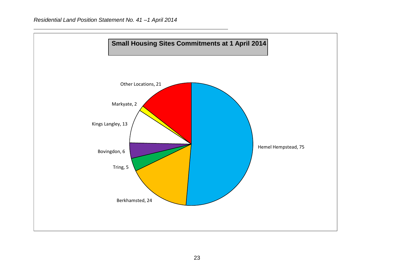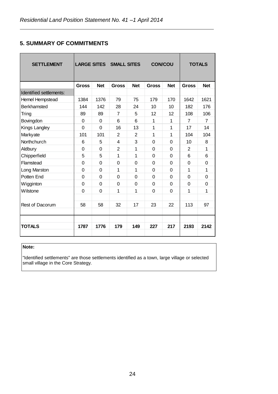#### **5. SUMMARY OF COMMITMENTS**

|                |                | LARGE SITES SMALL SITES |            | <b>CON/COU</b> |             |                | <b>TOTALS</b>  |
|----------------|----------------|-------------------------|------------|----------------|-------------|----------------|----------------|
| <b>Gross</b>   | <b>Net</b>     | <b>Gross</b>            | <b>Net</b> | <b>Gross</b>   | <b>Net</b>  | <b>Gross</b>   | <b>Net</b>     |
|                |                |                         |            |                |             |                |                |
| 1384           | 1376           | 79                      | 75         | 179            | 170         | 1642           | 1621           |
| 144            | 142            | 28                      | 24         | 10             | 10          | 182            | 176            |
| 89             | 89             | $\overline{7}$          | 5          | 12             | 12          | 108            | 106            |
| $\Omega$       | 0              | 6                       | 6          | 1              | 1           | $\overline{7}$ | $\overline{7}$ |
| 0              | 0              | 16                      | 13         | 1              | 1           | 17             | 14             |
| 101            | 101            | 2                       | 2          | 1              | 1           | 104            | 104            |
| 6              | 5              | 4                       | 3          | $\Omega$       | 0           | 10             | 8              |
| $\Omega$       | 0              | 2                       | 1          | 0              | 0           | 2              | 1              |
| 5              | 5              | 1                       | 1          | $\mathbf 0$    | $\mathbf 0$ | 6              | 6              |
| $\overline{0}$ | $\overline{0}$ | $\overline{0}$          | 0          | $\mathbf 0$    | $\mathbf 0$ | $\Omega$       | 0              |
| $\overline{0}$ | $\Omega$       | 1                       | 1          | $\Omega$       | $\mathbf 0$ | 1              | 1              |
| $\overline{0}$ | $\Omega$       | $\Omega$                | 0          | $\Omega$       | $\Omega$    | $\Omega$       | 0              |
| $\Omega$       | 0              | 0                       | 0          | $\mathbf 0$    | 0           | $\Omega$       | 0              |
| $\overline{0}$ | 0              | 1                       | 1          | 0              | $\Omega$    | 1              | 1              |
|                |                |                         |            |                |             |                |                |
| 58             | 58             | 32                      | 17         | 23             | 22          | 113            | 97             |
|                |                |                         |            |                |             |                |                |
|                |                |                         |            |                |             |                |                |
| 1787           | 1776           | 179                     | 149        | 227            | 217         | 2193           | 2142           |
|                |                |                         |            |                |             |                |                |

#### **Note:**

"Identified settlements" are those settlements identified as a town, large village or selected small village in the Core Strategy.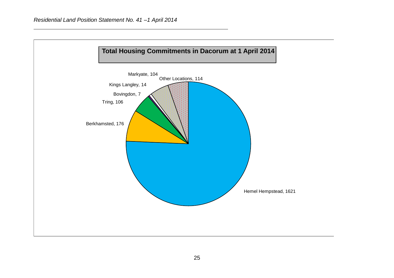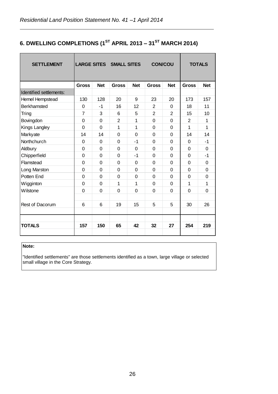# **6. DWELLING COMPLETIONS (1ST APRIL 2013 – 31ST MARCH 2014)**

| <b>SETTLEMENT</b>       |                |             | <b>LARGE SITES SMALL SITES</b> |            | <b>CON/COU</b> |                |              | <b>TOTALS</b> |
|-------------------------|----------------|-------------|--------------------------------|------------|----------------|----------------|--------------|---------------|
|                         | <b>Gross</b>   | <b>Net</b>  | <b>Gross</b>                   | <b>Net</b> | <b>Gross</b>   | <b>Net</b>     | <b>Gross</b> | <b>Net</b>    |
| Identified settlements: |                |             |                                |            |                |                |              |               |
| Hemel Hempstead         | 130            | 128         | 20                             | 9          | 23             | 20             | 173          | 157           |
| <b>Berkhamsted</b>      | 0              | $-1$        | 16                             | 12         | $\overline{2}$ | $\Omega$       | 18           | 11            |
| Tring                   | $\overline{7}$ | 3           | 6                              | 5          | $\overline{2}$ | $\overline{2}$ | 15           | 10            |
| Bovingdon               | 0              | $\Omega$    | $\overline{2}$                 | 1          | $\Omega$       | 0              | 2            | 1             |
| Kings Langley           | $\mathbf 0$    | $\Omega$    | 1                              | 1          | $\Omega$       | 0              | $\mathbf{1}$ | $\mathbf 1$   |
| Markyate                | 14             | 14          | 0                              | 0          | $\Omega$       | 0              | 14           | 14            |
| Northchurch             | 0              | $\Omega$    | 0                              | $-1$       | $\Omega$       | 0              | $\Omega$     | $-1$          |
| Aldbury                 | 0              | $\Omega$    | $\Omega$                       | 0          | 0              | 0              | $\Omega$     | 0             |
| Chipperfield            | $\mathbf 0$    | 0           | 0                              | $-1$       | $\Omega$       | 0              | $\Omega$     | $-1$          |
| Flamstead               | $\mathbf 0$    | $\Omega$    | $\Omega$                       | 0          | $\Omega$       | 0              | $\Omega$     | 0             |
| Long Marston            | $\mathbf 0$    | $\Omega$    | 0                              | 0          | $\Omega$       | 0              | $\Omega$     | 0             |
| Potten End              | 0              | $\mathbf 0$ | $\mathbf 0$                    | $\Omega$   | $\Omega$       | 0              | $\Omega$     | 0             |
| Wigginton               | $\mathbf 0$    | $\Omega$    | 1                              | 1          | $\Omega$       | 0              | 1            | 1             |
| Wilstone                | $\Omega$       | 0           | $\Omega$                       | 0          | $\Omega$       | 0              | $\Omega$     | 0             |
|                         |                |             |                                |            |                |                |              |               |
| Rest of Dacorum         | 6              | 6           | 19                             | 15         | 5              | 5              | 30           | 26            |
|                         |                |             |                                |            |                |                |              |               |
|                         |                |             |                                |            |                |                |              |               |
| <b>TOTALS</b>           | 157            | 150         | 65                             | 42         | 32             | 27             | 254          | 219           |

#### **Note:**

"Identified settlements" are those settlements identified as a town, large village or selected small village in the Core Strategy.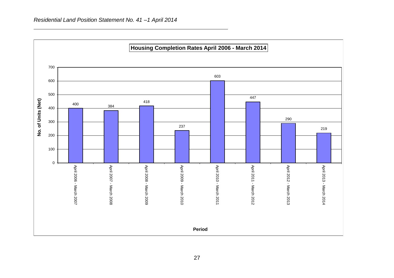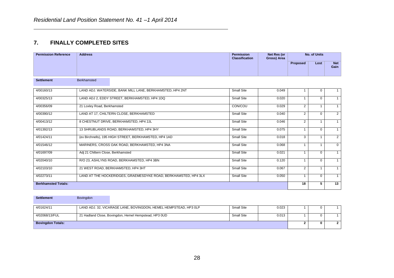#### **7. FINALLY COMPLETED SITES**

| <b>Permission Reference</b> | <b>Address</b>                                                  | <b>Permission</b><br><b>Classification</b> | Net Res (or<br>Gross) Area | <b>No. of Units</b> |              |                    |
|-----------------------------|-----------------------------------------------------------------|--------------------------------------------|----------------------------|---------------------|--------------|--------------------|
|                             |                                                                 |                                            |                            | <b>Proposed</b>     | Lost         | <b>Net</b><br>Gain |
| <b>Settlement</b>           | <b>Berkhamsted</b>                                              |                                            |                            |                     |              |                    |
| 4/00160/13                  | LAND ADJ. WATERSIDE, BANK MILL LANE, BERKHAMSTED, HP4 2NT       | Small Site                                 | 0.049                      |                     | 0            | 1                  |
| 4/00325/13                  | LAND ADJ 2, EDDY STREET, BERKHAMSTED, HP4 1DQ                   | <b>Small Site</b>                          | 0.020                      | $\mathbf{1}$        | $\Omega$     | $\mathbf{1}$       |
| 4/00356/09                  | 21 Loxley Road, Berkhamsted                                     | CON/COU                                    | 0.029                      | $\overline{2}$      | $\mathbf{1}$ | $\overline{1}$     |
| 4/00390/12                  | LAND AT 17, CHILTERN CLOSE, BERKHAMSTED                         | <b>Small Site</b>                          | 0.040                      | $\overline{2}$      | $\mathbf 0$  | $\overline{2}$     |
| 4/00413/12                  | 8 CHESTNUT DRIVE, BERKHAMSTED, HP4 2JL                          | Small Site                                 | 0.046                      | $\overline{2}$      |              |                    |
| 4/01392/13                  | 13 SHRUBLANDS ROAD, BERKHAMSTED, HP4 3HY                        | Small Site                                 | 0.075                      | 1                   | $\mathbf 0$  | $\mathbf{1}$       |
| 4/01424/11                  | (ex Birchnells), 195 HIGH STREET, BERKHAMSTED, HP4 1AD          | Small Site                                 | 0.018                      | 3                   | 1            | $\overline{2}$     |
| 4/01546/12                  | MARINERS, CROSS OAK ROAD, BERKHAMSTED, HP4 3NA                  | Small Site                                 | 0.068                      | $\mathbf 1$         | 1            | $\Omega$           |
| 4/01697/09                  | Adj 21 Chiltern Close, Berkhamsted                              | <b>Small Site</b>                          | 0.021                      | $\mathbf{1}$        | $\Omega$     | $\mathbf{1}$       |
| 4/02040/10                  | R/O 23, ASHLYNS ROAD, BERKHAMSTED, HP4 3BN                      | <b>Small Site</b>                          | 0.120                      | $\overline{1}$      | $\Omega$     | $\mathbf{1}$       |
| 4/02103/10                  | 21 WEST ROAD, BERKHAMSTED, HP4 3HT                              | Small Site                                 | 0.067                      | $\overline{2}$      |              |                    |
| 4/02273/11                  | LAND AT THE HOCKERIDGES, GRAEMESDYKE ROAD, BERKHAMSTED, HP4 3LX | Small Site                                 | 0.050                      | 1                   | $\Omega$     | $\mathbf{1}$       |
| <b>Berkhamsted Totals:</b>  |                                                                 |                                            |                            | 18                  | 5            | 13                 |

| <b>Settlement</b>        | <b>Bovingdon</b>                                                 |            |       |  |  |
|--------------------------|------------------------------------------------------------------|------------|-------|--|--|
| 4/01624/11               | LAND ADJ. 32, VICARAGE LANE, BOVINGDON, HEMEL HEMPSTEAD, HP3 0LP | Small Site | 0.023 |  |  |
| 4/02068/13/FUL           | 21 Hadland Close, Bovingdon, Hemel Hempstead, HP3 0UD            | Small Site | 0.013 |  |  |
| <b>Bovingdon Totals:</b> |                                                                  |            |       |  |  |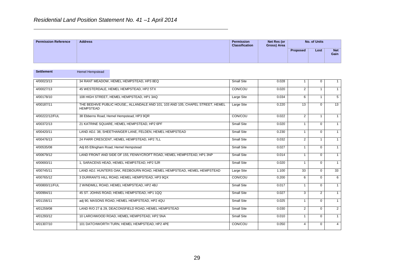| <b>Permission Reference</b> | <b>Address</b> | Permission<br><b>Classification</b> | Net Res (or<br>Gross) Area | No. of Units    |      |                    |
|-----------------------------|----------------|-------------------------------------|----------------------------|-----------------|------|--------------------|
|                             |                |                                     |                            | <b>Proposed</b> | Lost | <b>Net</b><br>Gain |

| <b>Settlement</b> | <b>Hemel Hempstead</b>                                                                              |                   |       |                |                |                |
|-------------------|-----------------------------------------------------------------------------------------------------|-------------------|-------|----------------|----------------|----------------|
| 4/00023/13        | 34 RANT MEADOW, HEMEL HEMPSTEAD, HP3 8EQ                                                            | <b>Small Site</b> | 0.028 |                | $\Omega$       | $\mathbf{1}$   |
| 4/00027/13        | 45 WESTERDALE, HEMEL HEMPSTEAD, HP2 5TX                                                             | CON/COU           | 0.020 | $\overline{2}$ |                | $\mathbf{1}$   |
| 4/00178/10        | 108 HIGH STREET, HEMEL HEMPSTEAD, HP1 3AQ                                                           | Large Site        | 0.034 | 6              | 1              | 5              |
| 4/00187/11        | THE BEEHIVE PUBLIC HOUSE., ALLANDALE AND 101, 103 AND 105, CHAPEL STREET, HEMEL<br><b>HEMPSTEAD</b> | Large Site        | 0.220 | 13             | $\Omega$       | 13             |
| 4/00222/12/FUL    | 38 Ebberns Road, Hemel Hempstead, HP3 9QR                                                           | CON/COU           | 0.022 | $\overline{2}$ | 1              | $\overline{1}$ |
| 4/00372/13        | 21 KATRINE SQUARE, HEMEL HEMPSTEAD, HP2 6PF                                                         | <b>Small Site</b> | 0.020 | 1              | $\Omega$       | $\mathbf{1}$   |
| 4/00420/11        | LAND ADJ, 38. SHEETHANGER LANE, FELDEN, HEMEL HEMPSTEAD                                             | <b>Small Site</b> | 0.230 | 1              | $\Omega$       | $\overline{1}$ |
| 4/00476/13        | 24 PARR CRESCENT, HEMEL HEMPSTEAD, HP2 7LL                                                          | Small Site        | 0.032 | $\overline{2}$ | $\overline{1}$ | $\overline{1}$ |
| 4/00535/08        | Adj 65 Ellingham Road, Hemel Hempstead                                                              | Small Site        | 0.027 | 1              | $\Omega$       | $\mathbf{1}$   |
| 4/00679/12        | LAND FRONT AND SIDE OF 155, FENNYCROFT ROAD, HEMEL HEMPSTEAD, HP1 3NP                               | <b>Small Site</b> | 0.014 | $\overline{1}$ | $\Omega$       | $\mathbf{1}$   |
| 4/00693/11        | 1, SARACENS HEAD, HEMEL HEMPSTEAD, HP2 5JR                                                          | <b>Small Site</b> | 0.020 | $\overline{1}$ | $\Omega$       | $\overline{1}$ |
| 4/00745/11        | LAND ADJ. HUNTERS OAK, REDBOURN ROAD, HEMEL HEMPSTEAD, HEMEL HEMPSTEAD                              | Large Site        | 1.100 | 33             | $\Omega$       | 33             |
| 4/00765/12        | 3 DURRANTS HILL ROAD, HEMEL HEMPSTEAD, HP3 9QX                                                      | CON/COU           | 0.200 | 6              | $\Omega$       | 6              |
| 4/00800/11/FUL    | 2 WINDMILL ROAD, HEMEL HEMPSTEAD, HP2 4BJ                                                           | Small Site        | 0.017 | $\mathbf{1}$   | $\Omega$       | $\mathbf{1}$   |
| 4/00994/11        | 45 ST. JOHNS ROAD, HEMEL HEMPSTEAD, HP1 1QQ                                                         | <b>Small Site</b> | 0.027 | 3              | 2              | $\overline{1}$ |
| 4/01156/11        | adj 90, MASONS ROAD, HEMEL HEMPSTEAD, HP2 4QU                                                       | <b>Small Site</b> | 0.025 | $\overline{1}$ | $\Omega$       | $\mathbf{1}$   |
| 4/01259/08        | LAND R/O 27 & 29, DEACONSFIELD ROAD, HEMEL HEMPSTEAD                                                | Small Site        | 0.030 | $\overline{2}$ | $\Omega$       | $\overline{2}$ |
| 4/01293/12        | 10 LARCHWOOD ROAD, HEMEL HEMPSTEAD, HP2 5NA                                                         | <b>Small Site</b> | 0.010 | $\mathbf 1$    | $\Omega$       | $\overline{1}$ |
| 4/01307/10        | 101 DATCHWORTH TURN, HEMEL HEMPSTEAD, HP2 4PE                                                       | CON/COU           | 0.050 | 4              | 0              | $\overline{4}$ |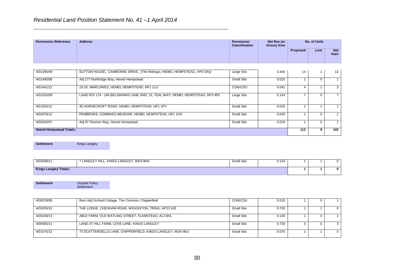| <b>Permission Reference</b> | <b>Address</b> | Permission<br><b>Classification</b> | Net Res (or<br>Gross) Area | No. of Units    |      |                    |
|-----------------------------|----------------|-------------------------------------|----------------------------|-----------------|------|--------------------|
|                             |                |                                     |                            | <b>Proposed</b> | Lost | <b>Net</b><br>Gain |

| 4/01346/09                     | SUTTON HOUSE., CAMBORNE DRIVE., (The Ridings), HEMEL HEMPSTEAD., HP2 6AQ      | Large Site | 0.340 | 14  |   | 13  |
|--------------------------------|-------------------------------------------------------------------------------|------------|-------|-----|---|-----|
| 4/01440/09                     | Adj 177 Northridge Way, Hemel Hempstead                                       | Small Site | 0.015 |     |   |     |
| 4/01441/12                     | 23-25, MARLOWES, HEMEL HEMPSTEAD, HP1 1LG                                     | CON/COU    | 0.041 |     |   | 3   |
| 4/01532/09                     | LAND R/O 174 - 184 BELSWAINS LANE AND, 15, TEAL WAY, HEMEL HEMPSTEAD, HP3 9FE | Large Site | 0.143 |     |   |     |
| 4/01553/12                     | 35 HORSECROFT ROAD, HEMEL HEMPSTEAD, HP1 1PY                                  | Small Site | 0.020 |     |   |     |
| 4/02078/12                     | PEMBROKE, CEMMAES MEADOW, HEMEL HEMPSTEAD, HP1 1HX                            | Small Site | 0.045 |     |   |     |
| 4/02620/07                     | Adj 97 Fletcher Way, Hemel Hempstead                                          | Small Site | 0.019 |     |   |     |
| <b>Hemel Hempstead Totals:</b> |                                                                               |            |       | 112 | 9 | 103 |

**Settlement** Kings Langley

| 4/02038/11                   | LANGLEY HILL, KINGS LANGLEY, WD4 9HA | Small Site | 0.134 |  |  |
|------------------------------|--------------------------------------|------------|-------|--|--|
| <b>Kings Langley Totals:</b> |                                      |            |       |  |  |

**Settlement Outside Policy** Settlement

| 4/00078/09 | Barn Adj Orchard Cottage, The Common, Chipperfield         | CON/COU    | 0.010 |  |              |
|------------|------------------------------------------------------------|------------|-------|--|--------------|
| 4/00205/12 | THE LODGE, CHESHAM ROAD, WIGGINTON, TRING, HP23 6JE        | Small Site | 0.730 |  | $\mathbf{0}$ |
| 4/00249/13 | ABLE FARM, OLD WATLING STREET, FLAMSTEAD, AL3 8HL          | Small Site | 0.130 |  |              |
| 4/00935/11 | LAND AT HILL FARM, LOVE LANE, KINGS LANGLEY                | Small Site | 0.730 |  |              |
| 4/01075/12 | 73 SCATTERDELLS LANE, CHIPPERFIELD, KINGS LANGLEY, WD4 9EU | Small Site | 0.070 |  | $\Omega$     |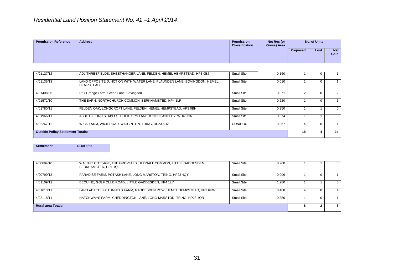| <b>Permission Reference</b> | <b>Address</b> | Permission<br><b>Classification</b> | Net Res (or<br>Gross) Area | No. of Units |      |               |
|-----------------------------|----------------|-------------------------------------|----------------------------|--------------|------|---------------|
|                             |                |                                     |                            | Proposed     | Lost | Net  <br>Gain |

| 4/01127/12                               | ADJ THREEFIELDS, SHEETHANGER LANE, FELDEN, HEMEL HEMPSTEAD, HP3 0BJ                  | Small Site | 0.160 |  | $\Omega$ |          |
|------------------------------------------|--------------------------------------------------------------------------------------|------------|-------|--|----------|----------|
| 4/01135/13                               | LAND OPPOSITE JUNCTION WITH WATER LANE, FLAUNDEN LANE, BOVINGDON, HEMEL<br>HEMPSTEAD | Small Site | 0.010 |  |          |          |
| 4/01408/06                               | R/O Grange Farm, Green Lane, Bovingdon                                               | Small Site | 0.071 |  |          |          |
| 4/01572/10                               | THE BARN, NORTHCHURCH COMMON, BERKHAMSTED, HP4 1LR                                   | Small Site | 0.220 |  |          |          |
| 4/01780/11                               | FELDEN OAK, LONGCROFT LANE, FELDEN, HEMEL HEMPSTEAD, HP3 0BN                         | Small Site | 0.350 |  |          | $\Omega$ |
| 4/01966/11                               | ABBOTS FORD STABLES, RUCKLERS LANE, KINGS LANGLEY, WD4 9NA                           | Small Site | 0.074 |  |          | $\Omega$ |
| 4/02267/12                               | WICK FARM, WICK ROAD, WIGGINTON, TRING, HP23 6HZ                                     | CON/COU    | 0.367 |  |          |          |
| <b>Outside Policy Settlement Totals:</b> |                                                                                      |            |       |  |          | 14       |

**Settlement** Rural area

| 4/00694/10                | WALNUT COTTAGE, THE GROVELLS, HUDNALL COMMON, LITTLE GADDESDEN,<br>BERKHAMSTED, HP4 1QJ | Small Site | 0.200 |  | U |
|---------------------------|-----------------------------------------------------------------------------------------|------------|-------|--|---|
| 4/00799/13                | PARADISE FARM, POTASH LANE, LONG MARSTON, TRING, HP23 4QY                               | Small Site | 0.006 |  |   |
| 4/01109/12                | BEQUINE, GOLF CLUB ROAD, LITTLE GADDESDEN, HP4 1LY                                      | Small Site | 1.280 |  | 0 |
| 4/01613/11                | LAND ADJ TO SIX TUNNELS FARM, GADDESDEN ROW, HEMEL HEMPSTEAD, HP2 6HW                   | Small Site | 0.488 |  |   |
| 4/02118/11                | HATCHWAYS FARM, CHEDDINGTON LANE, LONG MARSTON, TRING, HP23 4QR                         | Small Site | 0.350 |  |   |
| <b>Rural area Totals:</b> |                                                                                         |            |       |  |   |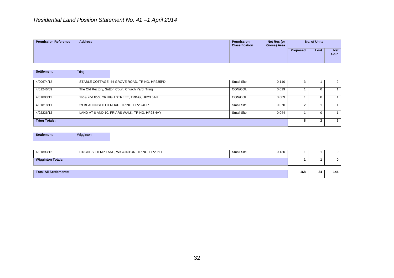| <b>Permission Reference</b> | <b>Address</b> | Permission<br><b>Classification</b> | Net Res (or<br>Gross) Area | No. of Units    |      |                    |
|-----------------------------|----------------|-------------------------------------|----------------------------|-----------------|------|--------------------|
|                             |                |                                     |                            | <b>Proposed</b> | Lost | <b>Net</b><br>Gain |

| <b>Settlement</b>    | Tring                                             |            |       |   |  |
|----------------------|---------------------------------------------------|------------|-------|---|--|
|                      |                                                   |            |       |   |  |
| 4/00674/12           | STABLE COTTAGE, 44 GROVE ROAD, TRING, HP235PD     | Small Site | 0.110 |   |  |
| 4/01246/09           | The Old Rectory, Sutton Court, Church Yard, Tring | CON/COU    | 0.019 |   |  |
| 4/01803/12           | 1st & 2nd floor, 26 HIGH STREET, TRING, HP23 5AH  | CON/COU    | 0.009 |   |  |
| 4/01818/11           | 29 BEACONSFIELD ROAD, TRING, HP23 4DP             | Small Site | 0.070 |   |  |
| 4/02236/12           | LAND AT 8 AND 10, FRIARS WALK, TRING, HP23 4AY    | Small Site | 0.044 |   |  |
| <b>Tring Totals:</b> |                                                   |            |       | 6 |  |

**Settlement** Wigginton

| 4/01893/12                    | FINCHES, HEMP LANE, WIGGINTON, TRING, HP236HF | <b>Small Site</b> | 0.130 |    |     | 0 |
|-------------------------------|-----------------------------------------------|-------------------|-------|----|-----|---|
| <b>Wigginton Totals:</b>      |                                               |                   |       |    | 0   |   |
|                               |                                               |                   |       |    |     |   |
| <b>Total All Settlements:</b> |                                               |                   | 168   | 24 | 144 |   |
|                               |                                               |                   |       |    |     |   |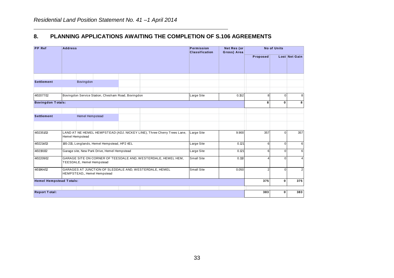#### **8. PLANNING APPLICATIONS AWAITING THE COMPLETION OF S.106 AGREEMENTS**

| <b>PP</b> Ref                  | <b>Address</b>                                                                                    | Permission<br><b>Classification</b> | Net Res (or<br>Gross) Area | <b>No of Units</b> |              |                |  |
|--------------------------------|---------------------------------------------------------------------------------------------------|-------------------------------------|----------------------------|--------------------|--------------|----------------|--|
|                                |                                                                                                   |                                     |                            | Proposed           |              | Lost Net Gain  |  |
|                                |                                                                                                   |                                     |                            |                    |              |                |  |
| <b>Settlement</b>              | Bovingdon                                                                                         |                                     |                            |                    |              |                |  |
| 4/02077/12                     | Bovingdon Service Station, Chesham Road, Bovingdon                                                | Large Site                          | 0.152                      | 8                  | $\Omega$     | 8              |  |
| <b>Bovingdon Totals:</b>       |                                                                                                   |                                     |                            | 8                  | $\mathbf{0}$ | 8              |  |
| <b>Settlement</b>              | Hemel Hempstead                                                                                   |                                     |                            |                    |              |                |  |
|                                |                                                                                                   |                                     |                            |                    |              |                |  |
| 4/02351/13                     | LAND AT NE HEMEL HEMPSTEAD (ADJ. NICKEY LINE), Three Cherry Trees Lane,<br><b>Hemel Hempstead</b> | Large Site                          | 9.900                      | 357                | $\Omega$     | 357            |  |
| 4/02214/13                     | 165-215, Longlands, Hemel Hempstead, HP2 4EL                                                      | Large Site                          | 0.121                      | 6                  | $\Omega$     | 6              |  |
| 4/02191/12                     | Garage site, New Park Drive, Hemel Hempstead                                                      | Large Site                          | 0.121                      | 6                  | $\Omega$     | 6              |  |
| 4/02209/12                     | GARAGE SITE ON CORNER OF TEESDALE AND, WESTERDALE, HEMEL HEM,<br>TEESDALE, Hemel Hempstead        | Small Site                          | 0.110                      |                    | $\Omega$     | $\overline{4}$ |  |
| 4/01964/12                     | GARAGES AT JUNCTION OF SLEDDALE AND, WESTERDALE, HEMEL<br>HEMPSTEAD,, Hemel Hempstead             | Small Site                          | 0.050                      | 2                  | $\Omega$     | $\overline{2}$ |  |
| <b>Hemel Hempstead Totals:</b> |                                                                                                   |                                     |                            | 375                | $\mathbf{0}$ | 375            |  |
|                                |                                                                                                   |                                     |                            |                    |              |                |  |
| <b>Report Total:</b>           |                                                                                                   |                                     |                            | 383                | $\mathbf{0}$ | 383            |  |